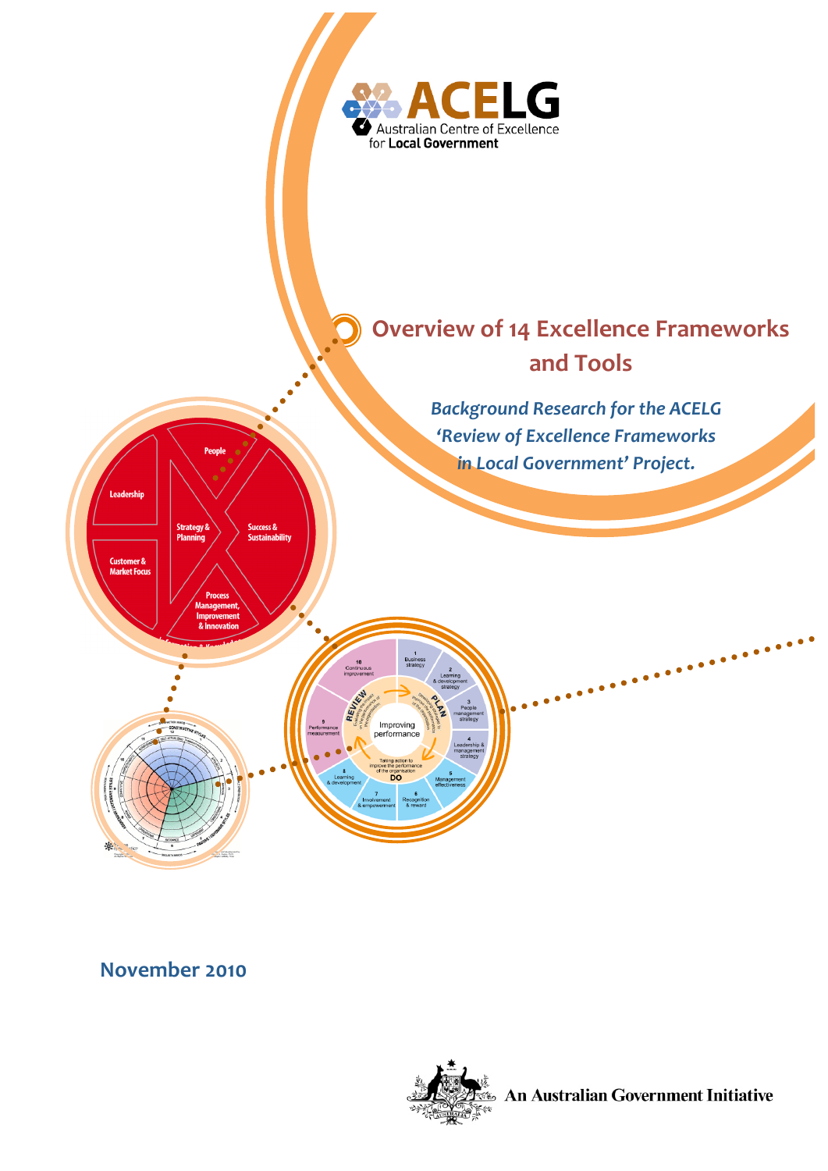

**November 2010**



**An Australian Government Initiative**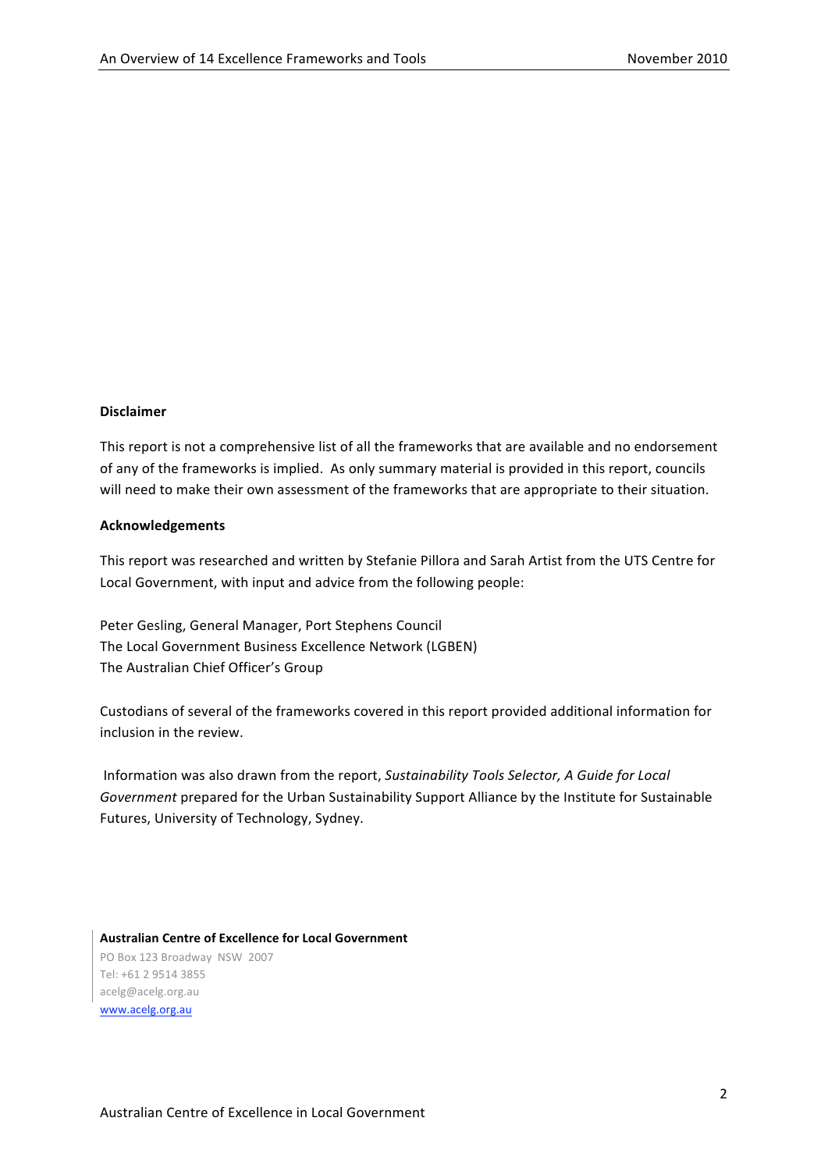#### **Disclaimer**

This report is not a comprehensive list of all the frameworks that are available and no endorsement of any of the frameworks is implied. As only summary material is provided in this report, councils will need to make their own assessment of the frameworks that are appropriate to their situation.

#### **Acknowledgements**

This report
was
researched
and
written
by
Stefanie
Pillora
and
Sarah
Artist
from
the
UTS
Centre
for Local
Government,
with
input
and
advice
from
the
following
people:

Peter
Gesling,
General
Manager,
Port
Stephens
Council The
Local
Government
Business
Excellence
Network
(LGBEN) The
Australian
Chief
Officer's
Group

Custodians
of
several
of
the
frameworks
covered
in
this
report
provided
additional
information
for inclusion
in
the review.

Information
was
also
drawn
from
the
report, *Sustainability
Tools
Selector,
A
Guide
for
Local*  Government prepared for the Urban Sustainability Support Alliance by the Institute for Sustainable Futures,
University
of
Technology,
Sydney.

**Australian
Centre
of
Excellence
for
Local
Government** PO
Box
123
Broadway

NSW

2007 Tel:
+61
2
9514
3855 acelg@acelg.org.au www.acelg.org.au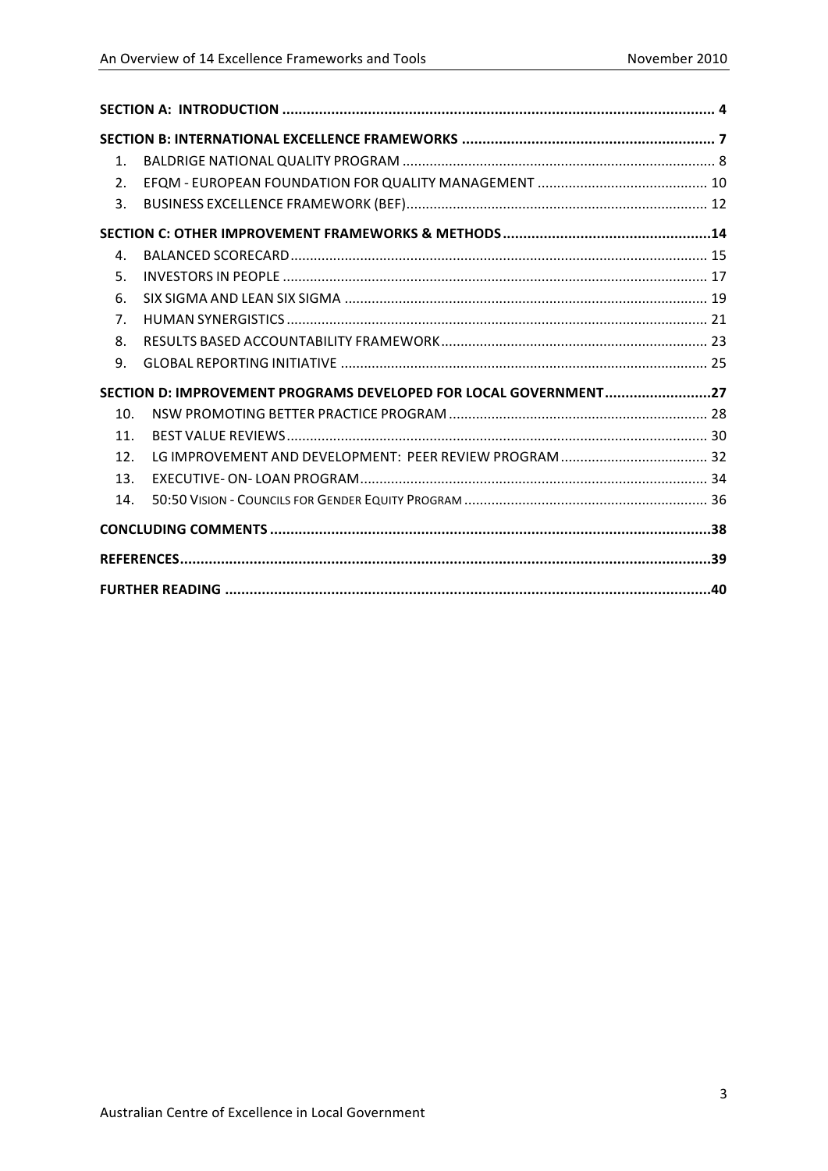| $\mathbf{1}$ .  |                                                                  |  |
|-----------------|------------------------------------------------------------------|--|
| 2.              |                                                                  |  |
| 3.              |                                                                  |  |
|                 |                                                                  |  |
| 4.              |                                                                  |  |
| 5.              |                                                                  |  |
| 6.              |                                                                  |  |
| 7.              |                                                                  |  |
| 8.              |                                                                  |  |
| 9.              |                                                                  |  |
|                 | SECTION D: IMPROVEMENT PROGRAMS DEVELOPED FOR LOCAL GOVERNMENT27 |  |
| 10.             |                                                                  |  |
| 11 <sub>1</sub> |                                                                  |  |
| 12.             |                                                                  |  |
| 13.             |                                                                  |  |
| 14.             |                                                                  |  |
|                 |                                                                  |  |
|                 |                                                                  |  |
|                 |                                                                  |  |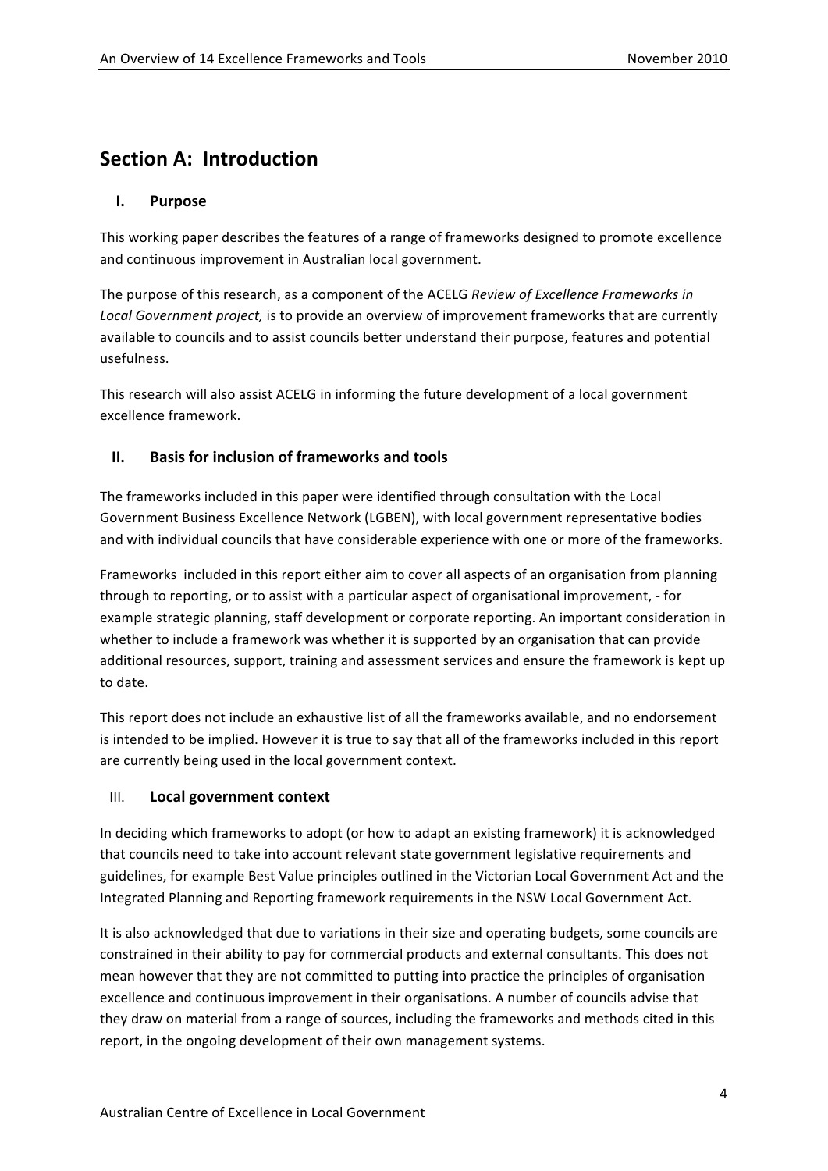# **Section
A:

Introduction**

### **I. Purpose**

This
working
paper describes
the
features
of
a
range
of
frameworks
designed
to
promote
excellence and
continuous
improvement
in
Australian
local
government.

The purpose of this research, as a component of the ACELG Review of Excellence Frameworks in Local Government project, is to provide an overview of improvement frameworks that are currently available
to
councils
and
to
assist
councils
better
understand
their purpose, features and
potential usefulness.

This research will also assist ACELG in informing the future development of a local government excellence
framework.

### **II. Basis
for
inclusion
of frameworks
and
tools**

The frameworks included in this paper were identified through consultation with the Local Government
Business
Excellence
Network
(LGBEN),
with
local
government
representative
bodies and with individual councils that have considerable experience with one or more of the frameworks.

Frameworks included in this report either aim to cover all aspects of an organisation from planning through to reporting, or to assist with a particular aspect of organisational improvement, - for example
strategic
planning,
staff
development or
corporate
reporting. An
important
consideration
in whether to include a framework was whether it is supported by an organisation that can provide additional resources, support, training and assessment services and ensure the framework is kept up to
date.

This
report
does
not
include
an
exhaustive
list
of
all
the
frameworks
available,
and
no
endorsement is intended to be implied. However it is true to say that all of the frameworks included in this report are
currently
being
used
in
the
local
government
context.

### III. **Local
government
context**

In deciding which frameworks to adopt (or how to adapt an existing framework) it is acknowledged that councils need to take into account relevant state government legislative requirements and guidelines, for example Best Value principles outlined in the Victorian Local Government Act and the Integrated
Planning
and
Reporting
framework
requirements
in the
NSW
Local
Government
Act.

It is also acknowledged that due to variations in their size and operating budgets, some councils are constrained
in
their
ability
to
pay
for
commercial
products
and
external consultants.
This
does
not mean however that they are not committed to putting into practice the principles of organisation excellence and continuous improvement in their organisations. A number of councils advise that they draw on material from a range of sources, including the frameworks and methods cited in this report,
in
the
ongoing
development
of their
own
management
systems.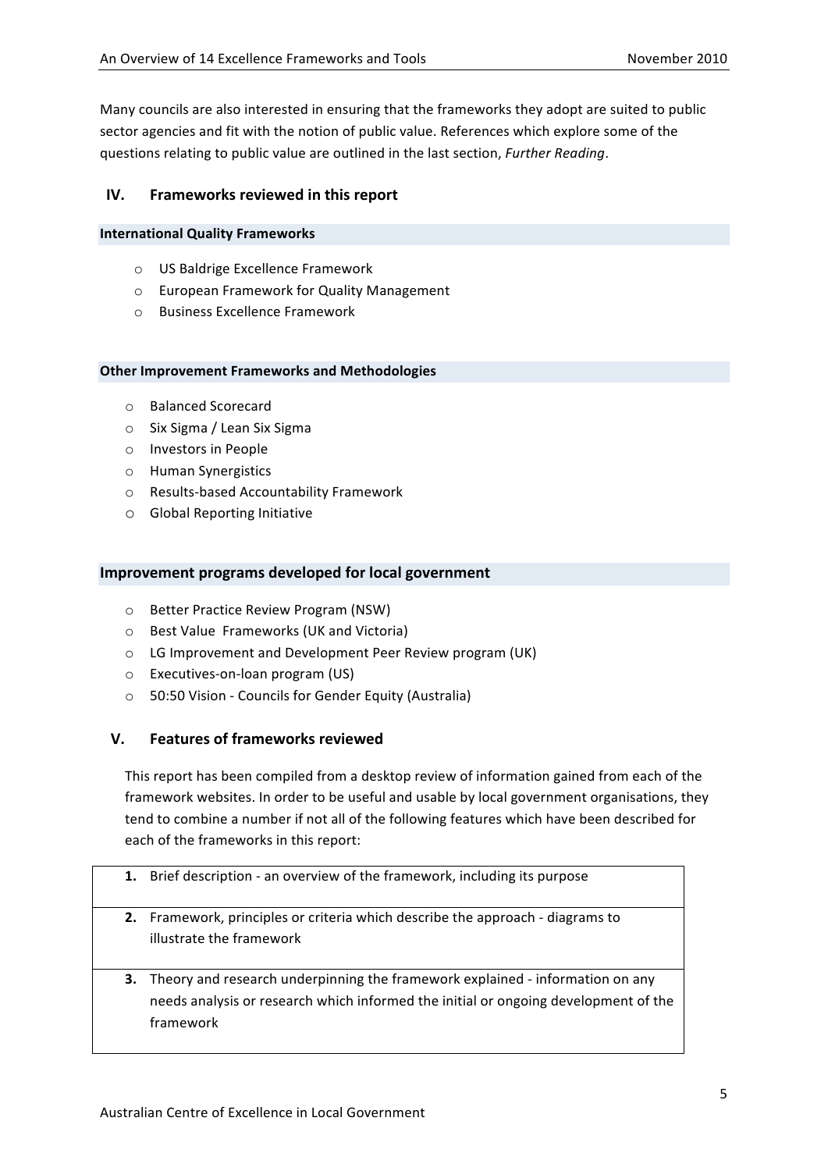Many councils are also interested in ensuring that the frameworks they adopt are suited to public sector agencies and fit with the notion of public value. References which explore some of the questions
relating
to
public
value
are
outlined
in
the
last
section, *Further
Reading*.

### **IV. Frameworks reviewed
in
this
report**

#### **International
Quality
Frameworks**

- o US
Baldrige Excellence
Framework
- o European
Framework
for
Quality
Management
- o Business
Excellence Framework

#### **Other
Improvement
Frameworks and
Methodologies**

- o Balanced
Scorecard
- o Six
Sigma /
Lean
Six
Sigma
- o Investors
in
People
- o Human
Synergistics
- o Results‐based
Accountability
Framework
- o Global
Reporting
Initiative

#### **Improvement programs developed
for
local
government**

- o Better
Practice
Review
Program
(NSW)
- o Best
Value

Frameworks (UK
and
Victoria)
- o LG
Improvement
and
Development
Peer
Review
program (UK)
- o Executives‐on‐loan
program
(US)
- o 50:50
Vision
‐ Councils
for Gender
Equity
(Australia)

### **V. Features
of
frameworks
reviewed**

This report has been compiled from a desktop review of information gained from each of the framework websites. In order to be useful and usable by local government organisations, they tend
to
combine
a
number
if
not
all
of
the
following
features
which
have
been
described
for each
of
the
frameworks
in
this
report:

- 1. Brief description an overview of the framework, including its purpose
- **2.** Framework,
principles
or
criteria which
describe
the
approach ‐ diagrams
to illustrate
the
framework
- **3.** Theory and research underpinning the framework explained information on any needs
analysis
or
research
which
informed
the
initial
or
ongoing
development
of
the framework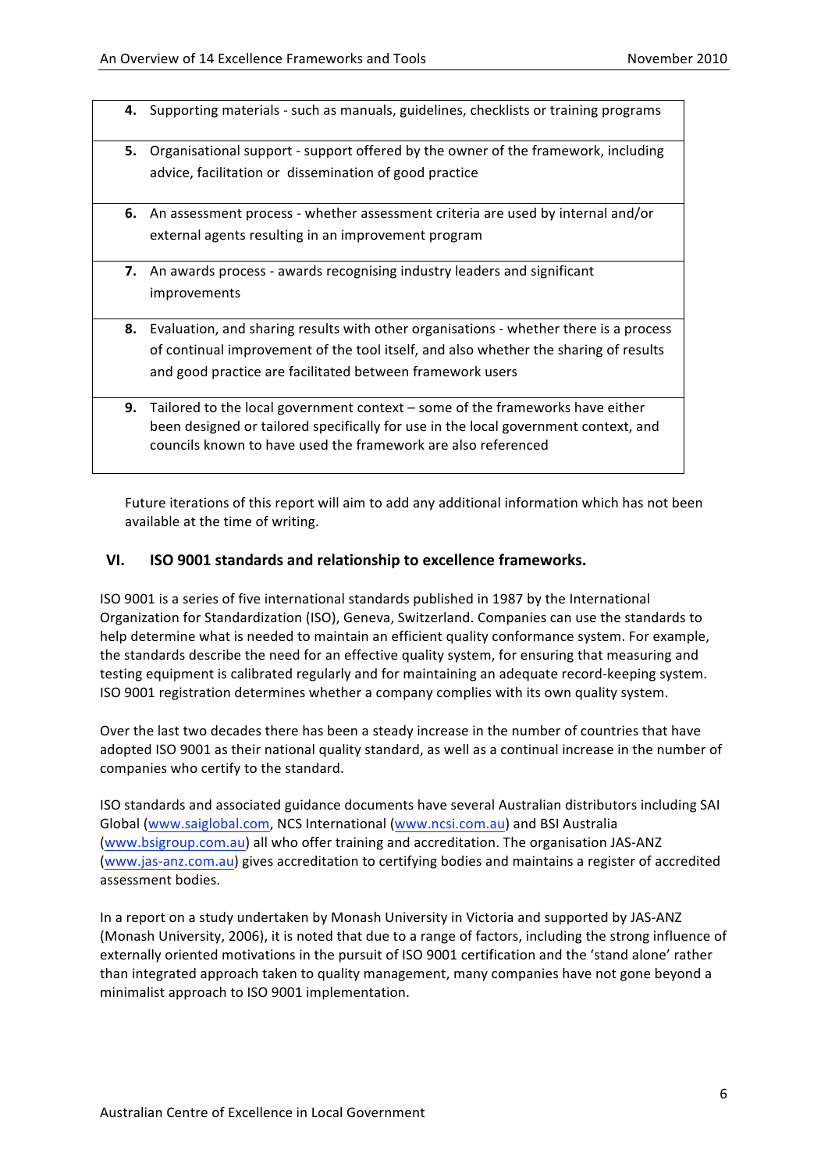- 4. Supporting materials such as manuals, guidelines, checklists or training programs
- **5.** Organisational support support offered by the owner of the framework, including advice,
facilitation
or

dissemination
of
good
practice
- **6.** An assessment process whether assessment criteria are used by internal and/or external
agents resulting
in
an
improvement
program
- **7.** An awards process awards recognising industry leaders and significant improvements
- 8. Evaluation, and sharing results with other organisations whether there is a process of
continual
improvement
of
the
tool
itself,
and
also
whether
the
sharing
of
results and
good
practice
are
facilitated
between
framework
users
- **9.** Tailored to the local government context some of the frameworks have either been
designed
or
tailored
specifically
for
use
in
the local
government
context,
and councils
known
to
have
used
the
framework are
also
referenced

Future iterations of this report will aim to add any additional information which has not been available
at
the
time
of
writing.

#### **VI. ISO
9001 standards and
relationship
to
excellence
frameworks.**

ISO
9001 is
a
series
of
five
international
standards
published
in
1987
by
the
International Organization for Standardization (ISO), Geneva, Switzerland. Companies can use the standards to help determine what is needed to maintain an efficient quality conformance system. For example, the
standards
describe
the
need
for
an
effective
quality
system,
for
ensuring
that
measuring
and testing
equipment
is
calibrated
regularly
and
for
maintaining
an
adequate record‐keeping system. ISO
9001 registration
determines
whether
a
company
complies
with
its
own
quality
system.

Over the last two decades there has been a steady increase in the number of countries that have adopted ISO 9001 as their national quality standard, as well as a continual increase in the number of companies who certify to the standard.

ISO standards and associated guidance documents have several Australian distributors including SAI Global (www.saiglobal.com, NCS International (www.ncsi.com.au) and BSI Australia (www.bsigroup.com.au)
all
who
offer
training
and
accreditation.
The
organisation
JAS‐ANZ (www.jas‐anz.com.au)
gives
accreditation
to
certifying
bodies
and
maintains
a
register of
accredited assessment
bodies.

In a report on a study undertaken by Monash University in Victoria and supported by JAS-ANZ (Monash University, 2006), it is noted that due to a range of factors, including the strong influence of externally oriented motivations in the pursuit of ISO 9001 certification and the 'stand alone' rather than integrated approach taken to quality management, many companies have not gone beyond a minimalist
approach
to
ISO
9001
implementation.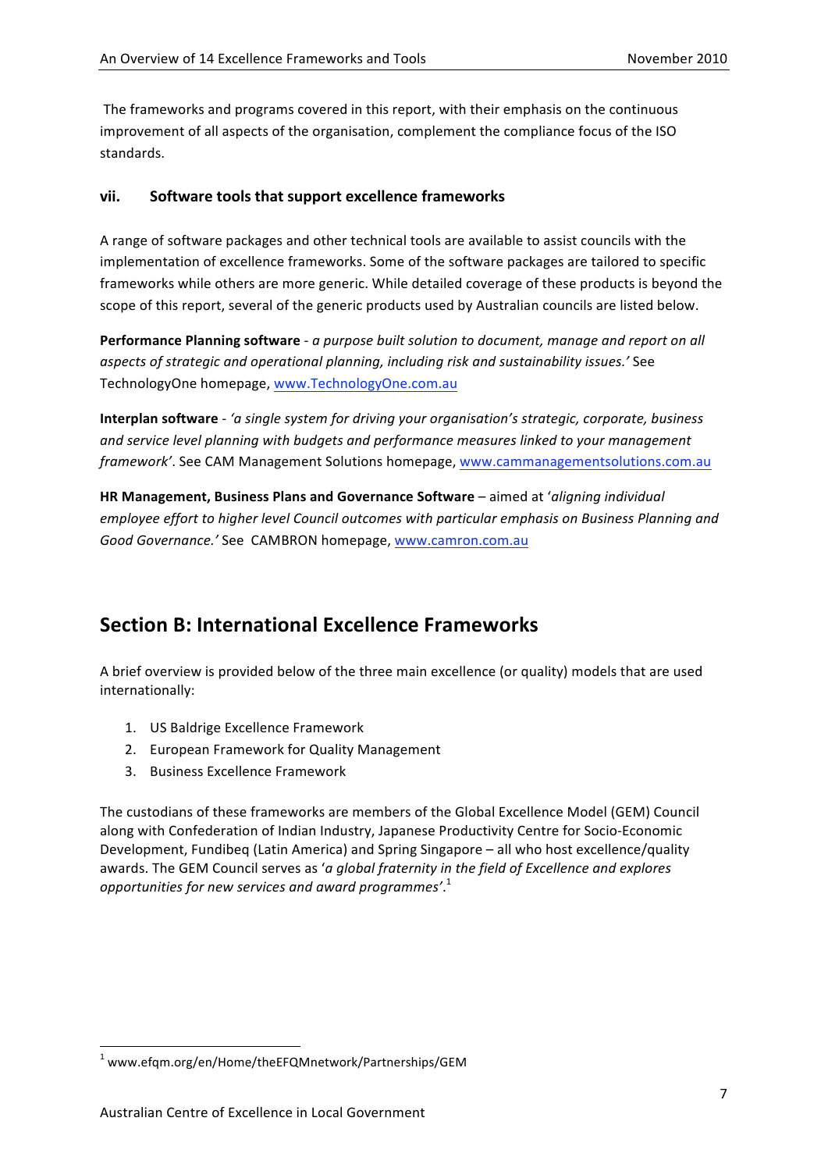The frameworks and programs covered in this report, with their emphasis on the continuous improvement of all aspects of the organisation, complement the compliance focus of the ISO standards.

### **vii. Software
tools
that
support
excellence
frameworks**

A range
of
software
packages
and
other
technical
tools
are
available to
assist
councils
with
the implementation of excellence frameworks. Some of the software packages are tailored to specific frameworks while others are more generic. While detailed coverage of these products is beyond the scope of this report, several of the generic products used by Australian councils are listed below.

Performance Planning software - a purpose built solution to document, manage and report on all *aspects
of
strategic
and
operational
planning,
including
risk
and
sustainability
issues.'* See TechnologyOne
homepage,
www.TechnologyOne.com.au

**Interplan
software** ‐ *'a
single
system
for
driving
your
organisation's
strategic,
corporate,
business and
service
level
planning
with
budgets
and
performance
measures linked
to
your
management framework'*. See
CAM
Management
Solutions
homepage, www.cammanagementsolutions.com.au

HR Management, Business Plans and Governance Software – aimed at 'aligning individual employee effort to higher level Council outcomes with particular emphasis on Business Planning and *Good
Governance.'* See CAMBRON
homepage, www.camron.com.au

# **Section
B:
International
Excellence
Frameworks**

A brief overview is provided below of the three main excellence (or quality) models that are used internationally:

- 1. US
Baldrige
Excellence
Framework
- 2. European
Framework
for
Quality
Management
- 3. Business
Excellence
Framework

The custodians of these frameworks are members of the Global Excellence Model (GEM) Council along
with
Confederation
of
Indian
Industry,
Japanese
Productivity
Centre for
Socio‐Economic Development,
Fundibeq
(Latin
America)
and
Spring
Singapore – all
who
host
excellence/quality awards. The GEM Council serves as '*a global fraternity in the field of Excellence and explores opportunities
for
new
services
and
award
programmes'*. 1

<u> 1989 - Jan Samuel Barbara, margaret e</u>

<sup>1</sup> www.efqm.org/en/Home/theEFQMnetwork/Partnerships/GEM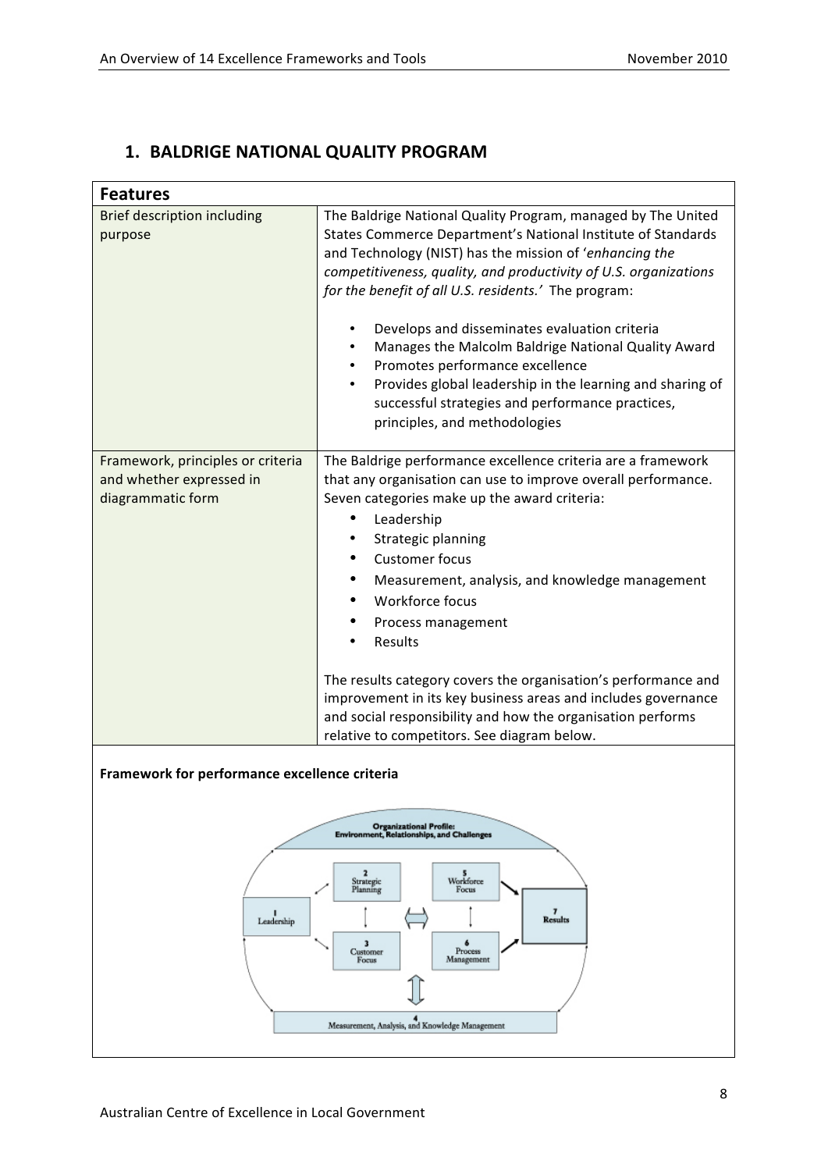### **1. BALDRIGE
NATIONAL
QUALITY
PROGRAM**

| <b>Features</b>                                                                     |                                                                        |  |
|-------------------------------------------------------------------------------------|------------------------------------------------------------------------|--|
| <b>Brief description including</b>                                                  | The Baldrige National Quality Program, managed by The United           |  |
| purpose                                                                             | States Commerce Department's National Institute of Standards           |  |
|                                                                                     | and Technology (NIST) has the mission of 'enhancing the                |  |
|                                                                                     | competitiveness, quality, and productivity of U.S. organizations       |  |
|                                                                                     | for the benefit of all U.S. residents.' The program:                   |  |
|                                                                                     |                                                                        |  |
|                                                                                     | Develops and disseminates evaluation criteria<br>٠                     |  |
|                                                                                     | Manages the Malcolm Baldrige National Quality Award                    |  |
|                                                                                     | Promotes performance excellence                                        |  |
|                                                                                     | Provides global leadership in the learning and sharing of<br>$\bullet$ |  |
|                                                                                     | successful strategies and performance practices,                       |  |
|                                                                                     | principles, and methodologies                                          |  |
|                                                                                     |                                                                        |  |
| Framework, principles or criteria                                                   | The Baldrige performance excellence criteria are a framework           |  |
| and whether expressed in                                                            | that any organisation can use to improve overall performance.          |  |
| diagrammatic form                                                                   | Seven categories make up the award criteria:                           |  |
|                                                                                     | Leadership<br>$\bullet$                                                |  |
|                                                                                     | Strategic planning                                                     |  |
|                                                                                     | <b>Customer focus</b>                                                  |  |
|                                                                                     | Measurement, analysis, and knowledge management                        |  |
|                                                                                     | Workforce focus                                                        |  |
|                                                                                     | Process management<br>٠                                                |  |
|                                                                                     | Results<br>٠                                                           |  |
|                                                                                     |                                                                        |  |
|                                                                                     | The results category covers the organisation's performance and         |  |
|                                                                                     | improvement in its key business areas and includes governance          |  |
|                                                                                     | and social responsibility and how the organisation performs            |  |
|                                                                                     | relative to competitors. See diagram below.                            |  |
|                                                                                     |                                                                        |  |
| Framework for performance excellence criteria                                       |                                                                        |  |
|                                                                                     |                                                                        |  |
|                                                                                     |                                                                        |  |
| <b>Organizational Profile:</b><br><b>Environment, Relationships, and Challenges</b> |                                                                        |  |
|                                                                                     |                                                                        |  |
|                                                                                     | 2<br>Workforce<br>Strategic                                            |  |
|                                                                                     | Planning<br>Focus                                                      |  |
| Leadership                                                                          | <b>Results</b>                                                         |  |
|                                                                                     | 3<br>6                                                                 |  |
|                                                                                     | Process<br>Customer<br>Management<br>Focus                             |  |
|                                                                                     |                                                                        |  |
|                                                                                     |                                                                        |  |
|                                                                                     | Measurement, Analysis, and Knowledge Management                        |  |
|                                                                                     |                                                                        |  |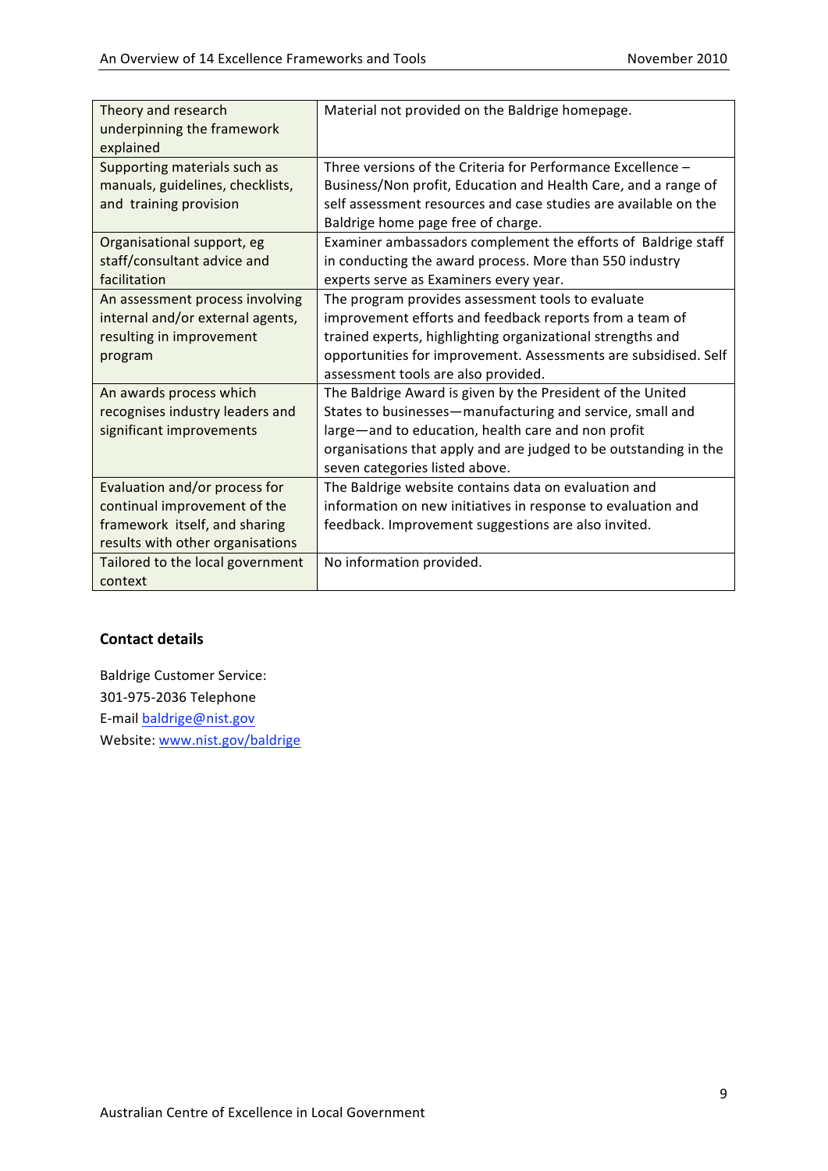| Theory and research<br>underpinning the framework<br>explained | Material not provided on the Baldrige homepage.                  |
|----------------------------------------------------------------|------------------------------------------------------------------|
|                                                                |                                                                  |
| Supporting materials such as                                   | Three versions of the Criteria for Performance Excellence -      |
| manuals, guidelines, checklists,                               | Business/Non profit, Education and Health Care, and a range of   |
| and training provision                                         | self assessment resources and case studies are available on the  |
|                                                                | Baldrige home page free of charge.                               |
| Organisational support, eg                                     | Examiner ambassadors complement the efforts of Baldrige staff    |
| staff/consultant advice and                                    | in conducting the award process. More than 550 industry          |
| facilitation                                                   | experts serve as Examiners every year.                           |
| An assessment process involving                                | The program provides assessment tools to evaluate                |
| internal and/or external agents,                               | improvement efforts and feedback reports from a team of          |
| resulting in improvement                                       | trained experts, highlighting organizational strengths and       |
| program                                                        | opportunities for improvement. Assessments are subsidised. Self  |
|                                                                | assessment tools are also provided.                              |
| An awards process which                                        | The Baldrige Award is given by the President of the United       |
| recognises industry leaders and                                | States to businesses-manufacturing and service, small and        |
| significant improvements                                       | large-and to education, health care and non profit               |
|                                                                | organisations that apply and are judged to be outstanding in the |
|                                                                | seven categories listed above.                                   |
| Evaluation and/or process for                                  | The Baldrige website contains data on evaluation and             |
| continual improvement of the                                   | information on new initiatives in response to evaluation and     |
| framework itself, and sharing                                  | feedback. Improvement suggestions are also invited.              |
| results with other organisations                               |                                                                  |
| Tailored to the local government                               | No information provided.                                         |
| context                                                        |                                                                  |

Baldrige
Customer
Service: 301‐975‐2036 Telephone E-mail baldrige@nist.gov Website:
www.nist.gov/baldrige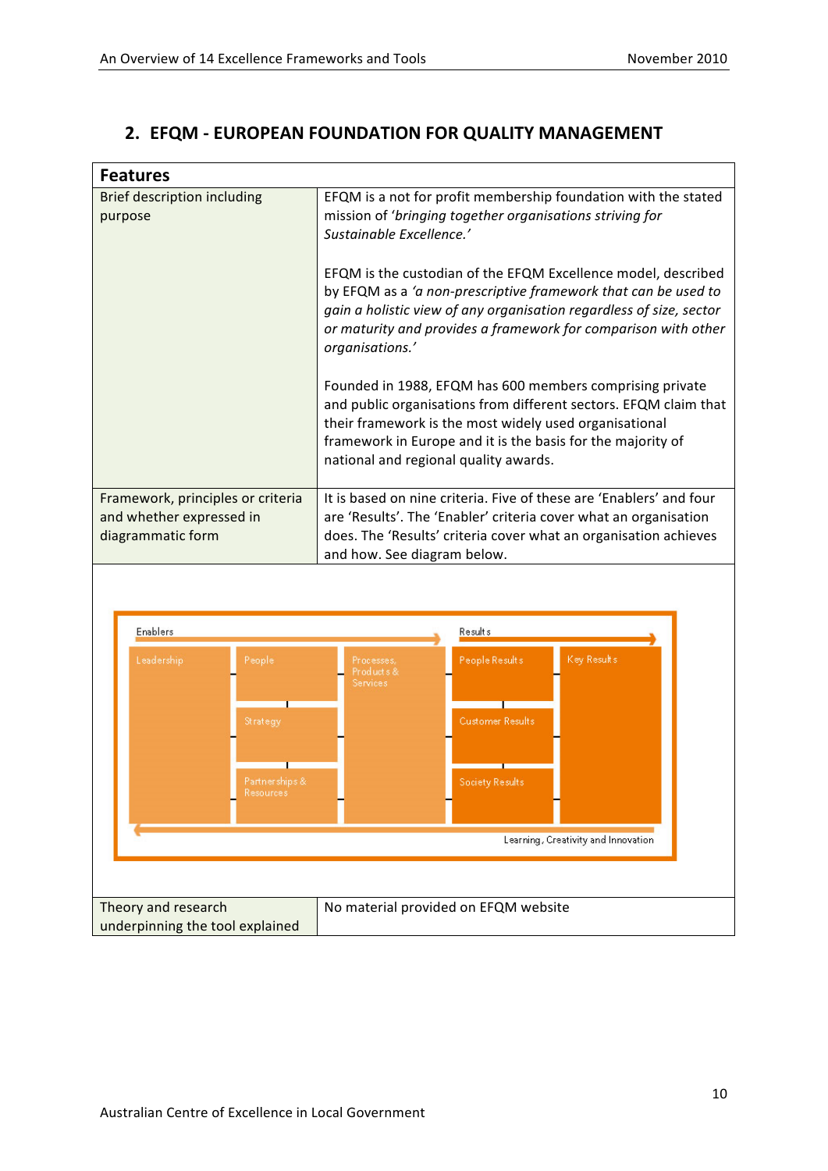### **2. EFQM
‐ EUROPEAN
FOUNDATION
FOR
QUALITY
MANAGEMENT**

| <b>Features</b>                                                                    |                                                                                                                                                                                                                                                                                                                                                                                                                                                                                                                                                                                                                                                                                                                                                         |  |
|------------------------------------------------------------------------------------|---------------------------------------------------------------------------------------------------------------------------------------------------------------------------------------------------------------------------------------------------------------------------------------------------------------------------------------------------------------------------------------------------------------------------------------------------------------------------------------------------------------------------------------------------------------------------------------------------------------------------------------------------------------------------------------------------------------------------------------------------------|--|
| <b>Brief description including</b><br>purpose                                      | EFQM is a not for profit membership foundation with the stated<br>mission of 'bringing together organisations striving for<br>Sustainable Excellence.'<br>EFQM is the custodian of the EFQM Excellence model, described<br>by EFQM as a 'a non-prescriptive framework that can be used to<br>gain a holistic view of any organisation regardless of size, sector<br>or maturity and provides a framework for comparison with other<br>organisations.'<br>Founded in 1988, EFQM has 600 members comprising private<br>and public organisations from different sectors. EFQM claim that<br>their framework is the most widely used organisational<br>framework in Europe and it is the basis for the majority of<br>national and regional quality awards. |  |
| Framework, principles or criteria<br>and whether expressed in<br>diagrammatic form | It is based on nine criteria. Five of these are 'Enablers' and four<br>are 'Results'. The 'Enabler' criteria cover what an organisation<br>does. The 'Results' criteria cover what an organisation achieves<br>and how. See diagram below.                                                                                                                                                                                                                                                                                                                                                                                                                                                                                                              |  |
|                                                                                    |                                                                                                                                                                                                                                                                                                                                                                                                                                                                                                                                                                                                                                                                                                                                                         |  |
| Enablers                                                                           | <b>Results</b>                                                                                                                                                                                                                                                                                                                                                                                                                                                                                                                                                                                                                                                                                                                                          |  |
| Leadership<br>People                                                               | Key Result's<br>People Results<br>Processes,<br>Products&<br>Services                                                                                                                                                                                                                                                                                                                                                                                                                                                                                                                                                                                                                                                                                   |  |
| Strategy                                                                           | <b>Customer Results</b>                                                                                                                                                                                                                                                                                                                                                                                                                                                                                                                                                                                                                                                                                                                                 |  |
| Partner ships &<br>Resources                                                       | Society Results                                                                                                                                                                                                                                                                                                                                                                                                                                                                                                                                                                                                                                                                                                                                         |  |
|                                                                                    |                                                                                                                                                                                                                                                                                                                                                                                                                                                                                                                                                                                                                                                                                                                                                         |  |
|                                                                                    | Learning, Creativity and Innovation                                                                                                                                                                                                                                                                                                                                                                                                                                                                                                                                                                                                                                                                                                                     |  |
|                                                                                    |                                                                                                                                                                                                                                                                                                                                                                                                                                                                                                                                                                                                                                                                                                                                                         |  |
|                                                                                    |                                                                                                                                                                                                                                                                                                                                                                                                                                                                                                                                                                                                                                                                                                                                                         |  |
| Theory and research<br>No material provided on EFQM website                        |                                                                                                                                                                                                                                                                                                                                                                                                                                                                                                                                                                                                                                                                                                                                                         |  |
| underpinning the tool explained                                                    |                                                                                                                                                                                                                                                                                                                                                                                                                                                                                                                                                                                                                                                                                                                                                         |  |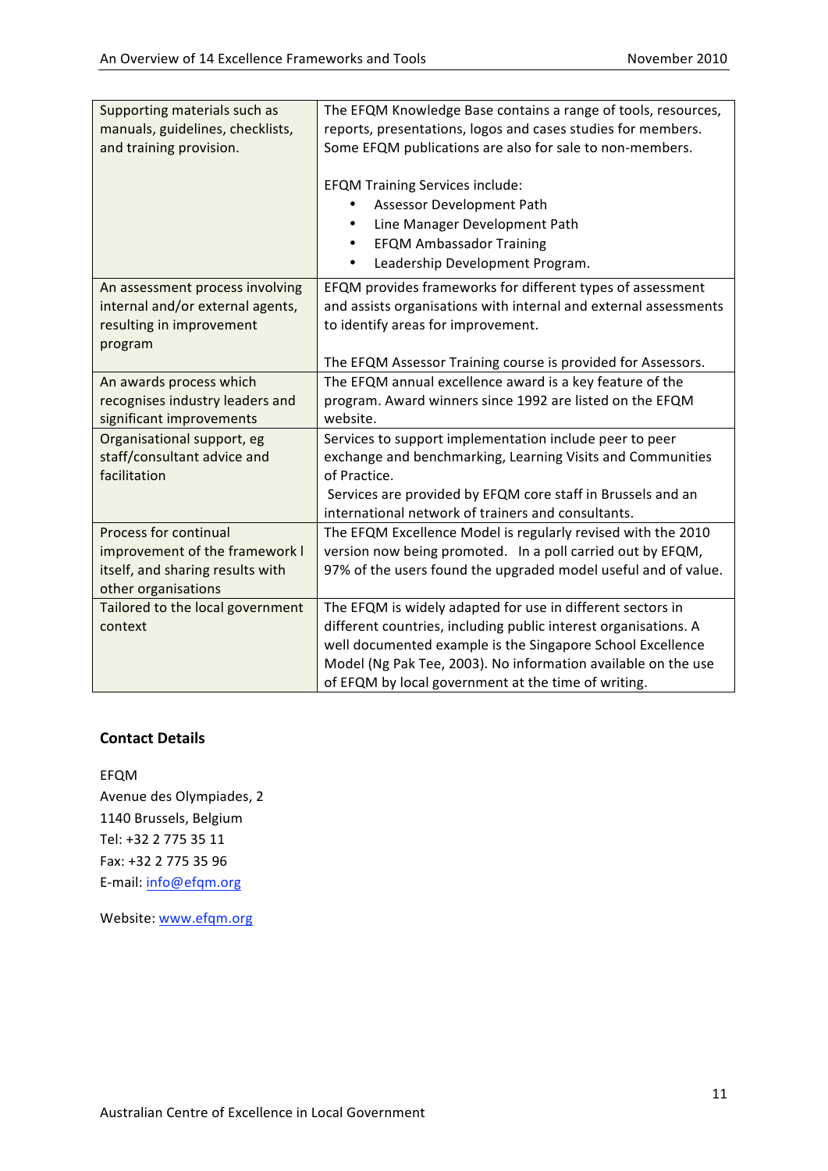| Supporting materials such as     | The EFQM Knowledge Base contains a range of tools, resources,    |
|----------------------------------|------------------------------------------------------------------|
| manuals, guidelines, checklists, | reports, presentations, logos and cases studies for members.     |
| and training provision.          | Some EFQM publications are also for sale to non-members.         |
|                                  |                                                                  |
|                                  | <b>EFQM Training Services include:</b>                           |
|                                  | Assessor Development Path                                        |
|                                  | Line Manager Development Path<br>$\bullet$                       |
|                                  | <b>EFQM Ambassador Training</b><br>$\bullet$                     |
|                                  | Leadership Development Program.<br>$\bullet$                     |
| An assessment process involving  | EFQM provides frameworks for different types of assessment       |
| internal and/or external agents, | and assists organisations with internal and external assessments |
| resulting in improvement         | to identify areas for improvement.                               |
| program                          |                                                                  |
|                                  | The EFQM Assessor Training course is provided for Assessors.     |
| An awards process which          | The EFQM annual excellence award is a key feature of the         |
| recognises industry leaders and  | program. Award winners since 1992 are listed on the EFQM         |
| significant improvements         | website.                                                         |
| Organisational support, eg       | Services to support implementation include peer to peer          |
| staff/consultant advice and      | exchange and benchmarking, Learning Visits and Communities       |
| facilitation                     | of Practice.                                                     |
|                                  | Services are provided by EFQM core staff in Brussels and an      |
|                                  | international network of trainers and consultants.               |
| Process for continual            | The EFQM Excellence Model is regularly revised with the 2010     |
| improvement of the framework I   | version now being promoted. In a poll carried out by EFQM,       |
| itself, and sharing results with | 97% of the users found the upgraded model useful and of value.   |
| other organisations              |                                                                  |
| Tailored to the local government | The EFQM is widely adapted for use in different sectors in       |
| context                          | different countries, including public interest organisations. A  |
|                                  | well documented example is the Singapore School Excellence       |
|                                  | Model (Ng Pak Tee, 2003). No information available on the use    |
|                                  | of EFQM by local government at the time of writing.              |

EFQM Avenue
des
Olympiades,
2 1140
Brussels,
Belgium Tel:
+32
2
775
35
11 Fax:
+32
2
775
35
96 E‐mail:
info@efqm.org

Website:
www.efqm.org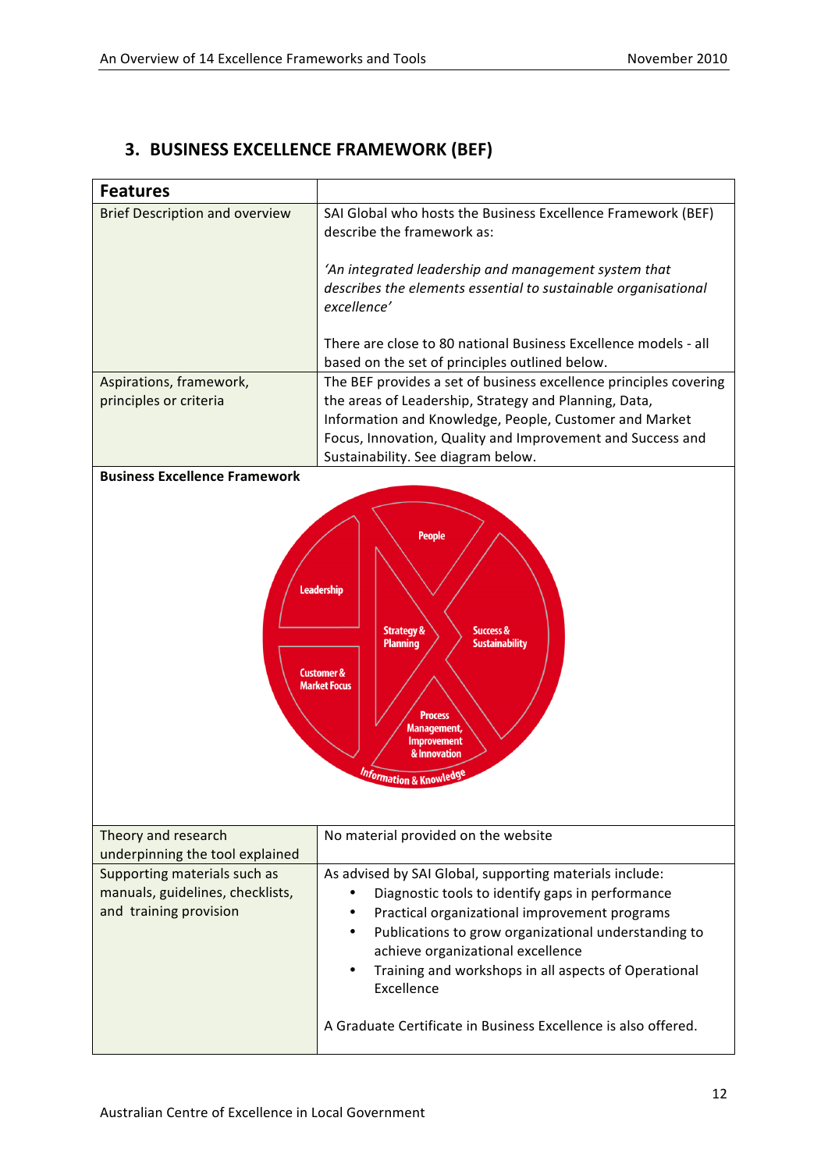# **3. BUSINESS
EXCELLENCE
FRAMEWORK
(BEF)**

| <b>Features</b>                                                                                                                                                                                                                                                                            |                                                                                                                                                                                                                                                                                                                                                                                                   |  |
|--------------------------------------------------------------------------------------------------------------------------------------------------------------------------------------------------------------------------------------------------------------------------------------------|---------------------------------------------------------------------------------------------------------------------------------------------------------------------------------------------------------------------------------------------------------------------------------------------------------------------------------------------------------------------------------------------------|--|
| <b>Brief Description and overview</b>                                                                                                                                                                                                                                                      | SAI Global who hosts the Business Excellence Framework (BEF)<br>describe the framework as:                                                                                                                                                                                                                                                                                                        |  |
|                                                                                                                                                                                                                                                                                            | 'An integrated leadership and management system that<br>describes the elements essential to sustainable organisational<br>excellence'                                                                                                                                                                                                                                                             |  |
|                                                                                                                                                                                                                                                                                            | There are close to 80 national Business Excellence models - all<br>based on the set of principles outlined below.                                                                                                                                                                                                                                                                                 |  |
| Aspirations, framework,<br>principles or criteria                                                                                                                                                                                                                                          | The BEF provides a set of business excellence principles covering<br>the areas of Leadership, Strategy and Planning, Data,<br>Information and Knowledge, People, Customer and Market<br>Focus, Innovation, Quality and Improvement and Success and<br>Sustainability. See diagram below.                                                                                                          |  |
| <b>Business Excellence Framework</b>                                                                                                                                                                                                                                                       |                                                                                                                                                                                                                                                                                                                                                                                                   |  |
| <b>People</b><br><b>Leadership</b><br><b>Strategy &amp;</b><br><b>Success &amp;</b><br><b>Planning</b><br><b>Sustainability</b><br><b>Customer &amp;</b><br><b>Market Focus</b><br><b>Process</b><br>Management,<br>Improvement<br>& Innovation<br><i><b>Information &amp; Knowled</b></i> |                                                                                                                                                                                                                                                                                                                                                                                                   |  |
| Theory and research<br>underpinning the tool explained                                                                                                                                                                                                                                     | No material provided on the website                                                                                                                                                                                                                                                                                                                                                               |  |
| Supporting materials such as<br>manuals, guidelines, checklists,<br>and training provision                                                                                                                                                                                                 | As advised by SAI Global, supporting materials include:<br>Diagnostic tools to identify gaps in performance<br>Practical organizational improvement programs<br>Publications to grow organizational understanding to<br>achieve organizational excellence<br>Training and workshops in all aspects of Operational<br>Excellence<br>A Graduate Certificate in Business Excellence is also offered. |  |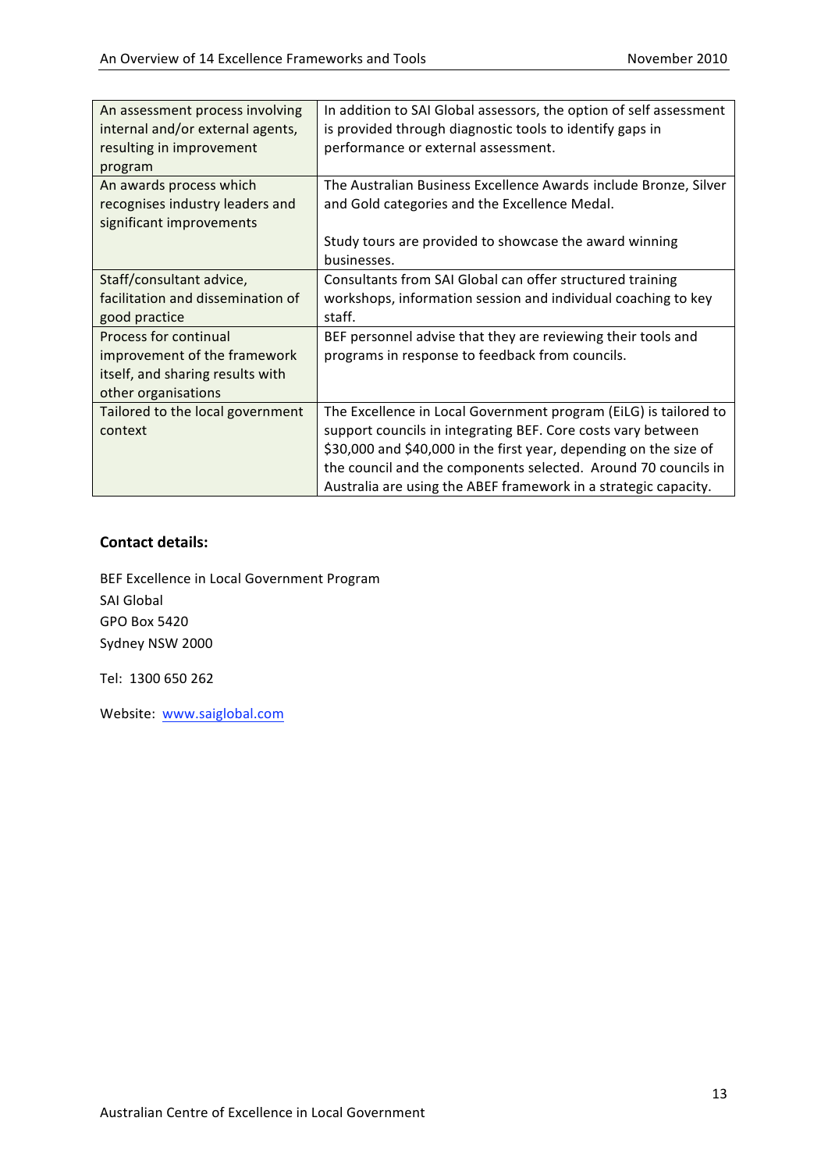| An assessment process involving   | In addition to SAI Global assessors, the option of self assessment |
|-----------------------------------|--------------------------------------------------------------------|
| internal and/or external agents,  | is provided through diagnostic tools to identify gaps in           |
| resulting in improvement          | performance or external assessment.                                |
| program                           |                                                                    |
| An awards process which           | The Australian Business Excellence Awards include Bronze, Silver   |
| recognises industry leaders and   | and Gold categories and the Excellence Medal.                      |
| significant improvements          |                                                                    |
|                                   | Study tours are provided to showcase the award winning             |
|                                   | businesses.                                                        |
| Staff/consultant advice,          | Consultants from SAI Global can offer structured training          |
| facilitation and dissemination of | workshops, information session and individual coaching to key      |
| good practice                     | staff.                                                             |
| Process for continual             | BEF personnel advise that they are reviewing their tools and       |
| improvement of the framework      | programs in response to feedback from councils.                    |
| itself, and sharing results with  |                                                                    |
| other organisations               |                                                                    |
| Tailored to the local government  | The Excellence in Local Government program (EiLG) is tailored to   |
| context                           | support councils in integrating BEF. Core costs vary between       |
|                                   | \$30,000 and \$40,000 in the first year, depending on the size of  |
|                                   | the council and the components selected. Around 70 councils in     |
|                                   | Australia are using the ABEF framework in a strategic capacity.    |

BEF
Excellence
in
Local
Government
Program SAI
Global GPO
Box
5420 Sydney
NSW
2000

Tel:

1300
650
262

Website:

www.saiglobal.com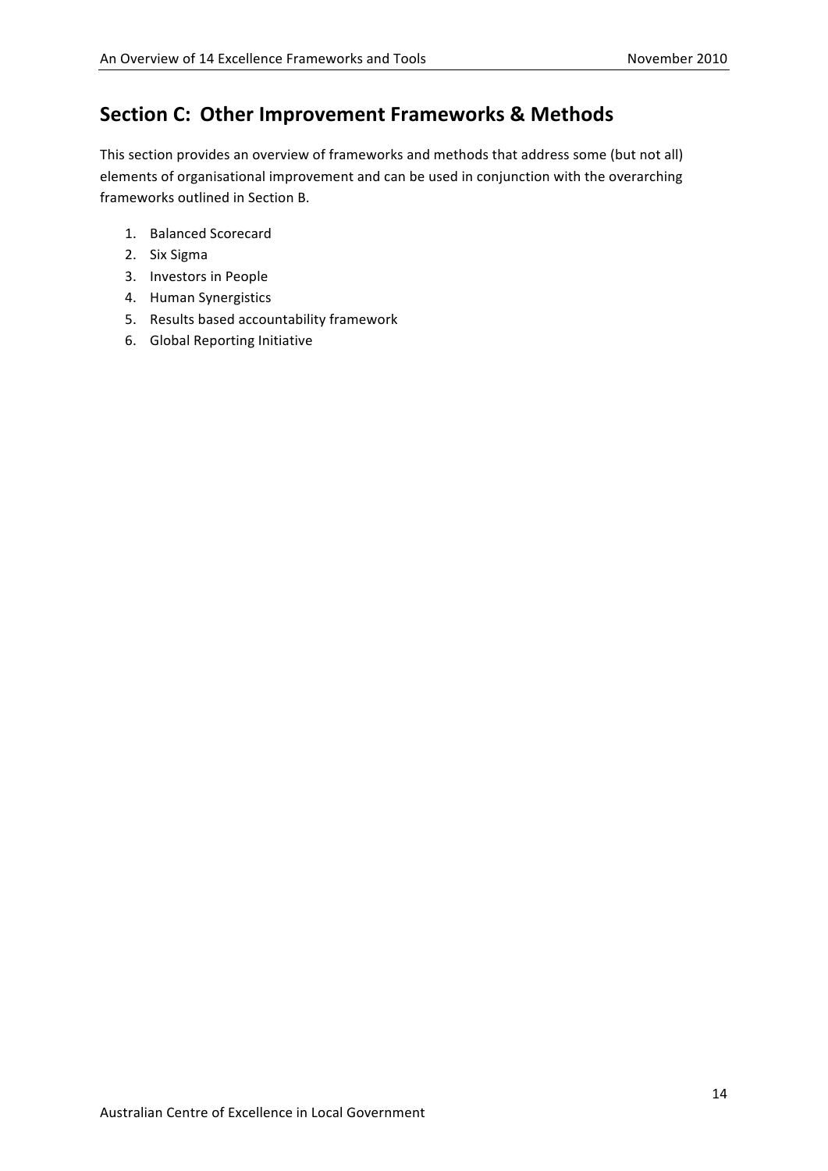# **Section
C: Other
Improvement
Frameworks &
Methods**

This section provides an overview of frameworks and methods that address some (but not all) elements of
organisational
improvement
and
can
be
used
in
conjunction
with
the
overarching frameworks
outlined
in
Section
B.

- 1. Balanced
Scorecard
- 2. Six
Sigma
- 3. Investors
in
People
- 4. Human
Synergistics
- 5. Results
based
accountability
framework
- 6. Global
Reporting
Initiative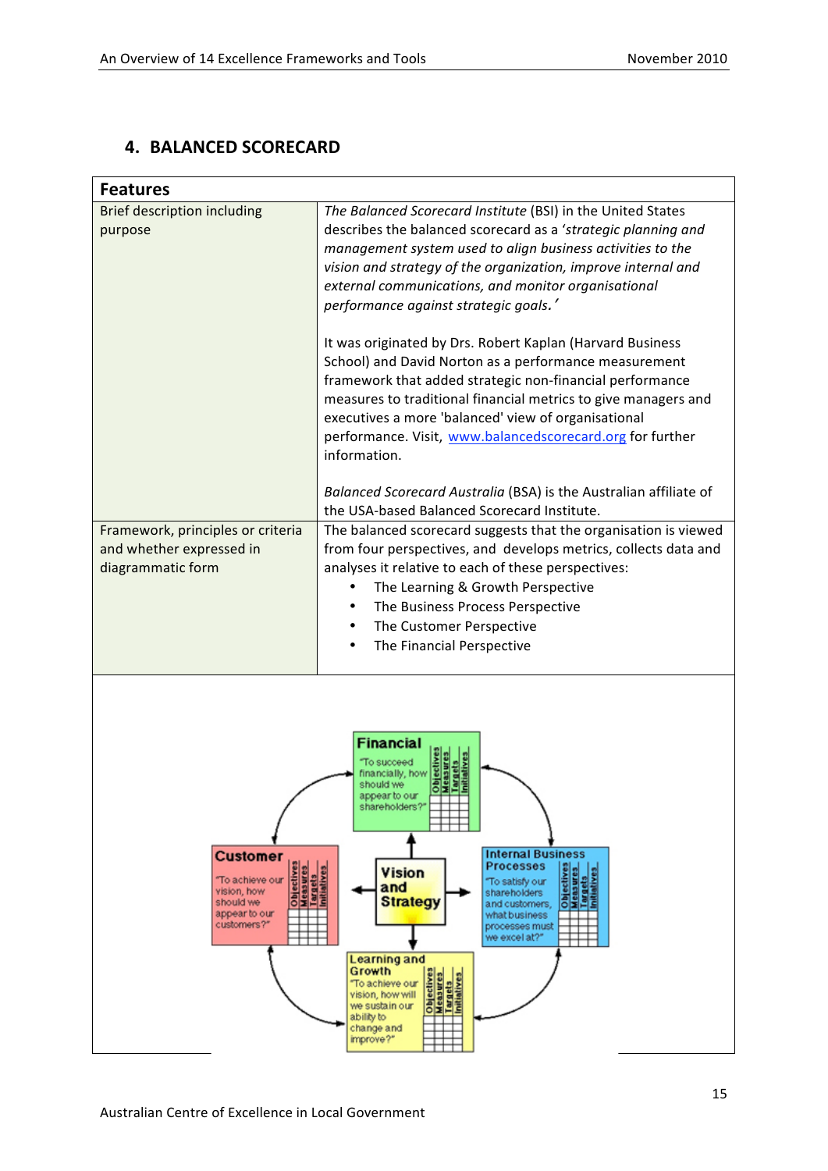### **4. BALANCED
SCORECARD**

| <b>Features</b>                                                                                                                                                                                                                                                                                                                                                                                                                                                                                                                                                                                                                                            |                                                                                                                                                                                                                                                                                                                                                                                                                                                                                                                                                                                                                                                                                                                                                                                                                          |  |
|------------------------------------------------------------------------------------------------------------------------------------------------------------------------------------------------------------------------------------------------------------------------------------------------------------------------------------------------------------------------------------------------------------------------------------------------------------------------------------------------------------------------------------------------------------------------------------------------------------------------------------------------------------|--------------------------------------------------------------------------------------------------------------------------------------------------------------------------------------------------------------------------------------------------------------------------------------------------------------------------------------------------------------------------------------------------------------------------------------------------------------------------------------------------------------------------------------------------------------------------------------------------------------------------------------------------------------------------------------------------------------------------------------------------------------------------------------------------------------------------|--|
| <b>Brief description including</b><br>purpose                                                                                                                                                                                                                                                                                                                                                                                                                                                                                                                                                                                                              | The Balanced Scorecard Institute (BSI) in the United States<br>describes the balanced scorecard as a 'strategic planning and<br>management system used to align business activities to the<br>vision and strategy of the organization, improve internal and<br>external communications, and monitor organisational<br>performance against strategic goals.'<br>It was originated by Drs. Robert Kaplan (Harvard Business<br>School) and David Norton as a performance measurement<br>framework that added strategic non-financial performance<br>measures to traditional financial metrics to give managers and<br>executives a more 'balanced' view of organisational<br>performance. Visit, www.balancedscorecard.org for further<br>information.<br>Balanced Scorecard Australia (BSA) is the Australian affiliate of |  |
| Framework, principles or criteria<br>and whether expressed in<br>diagrammatic form                                                                                                                                                                                                                                                                                                                                                                                                                                                                                                                                                                         | the USA-based Balanced Scorecard Institute.<br>The balanced scorecard suggests that the organisation is viewed<br>from four perspectives, and develops metrics, collects data and<br>analyses it relative to each of these perspectives:<br>The Learning & Growth Perspective<br>The Business Process Perspective<br>The Customer Perspective<br>The Financial Perspective                                                                                                                                                                                                                                                                                                                                                                                                                                               |  |
| Financial<br>o succeed<br>ancially, how<br>should we<br>appear to our<br>shareholders?<br><b>Internal Business</b><br><b>Customer</b><br>Objectives<br>Measures<br>Targets<br>Initiatives<br>Objectives<br>Measures<br>Processes<br><b>Vision</b><br>argets<br>attatives<br>"To achieve our<br>To satisfy our<br>and<br>vision, how<br>shareholders<br><b>Strategy</b><br>should we<br>and customers.<br>appear to our<br>what business<br>customers?"<br>processes must<br>we excel at?"<br>Learning and<br>Growth<br>Objectives<br>Measures<br>Targets<br>"To achieve our<br>vision, how will<br>we sustain our<br>ability to<br>change and<br>improve?" |                                                                                                                                                                                                                                                                                                                                                                                                                                                                                                                                                                                                                                                                                                                                                                                                                          |  |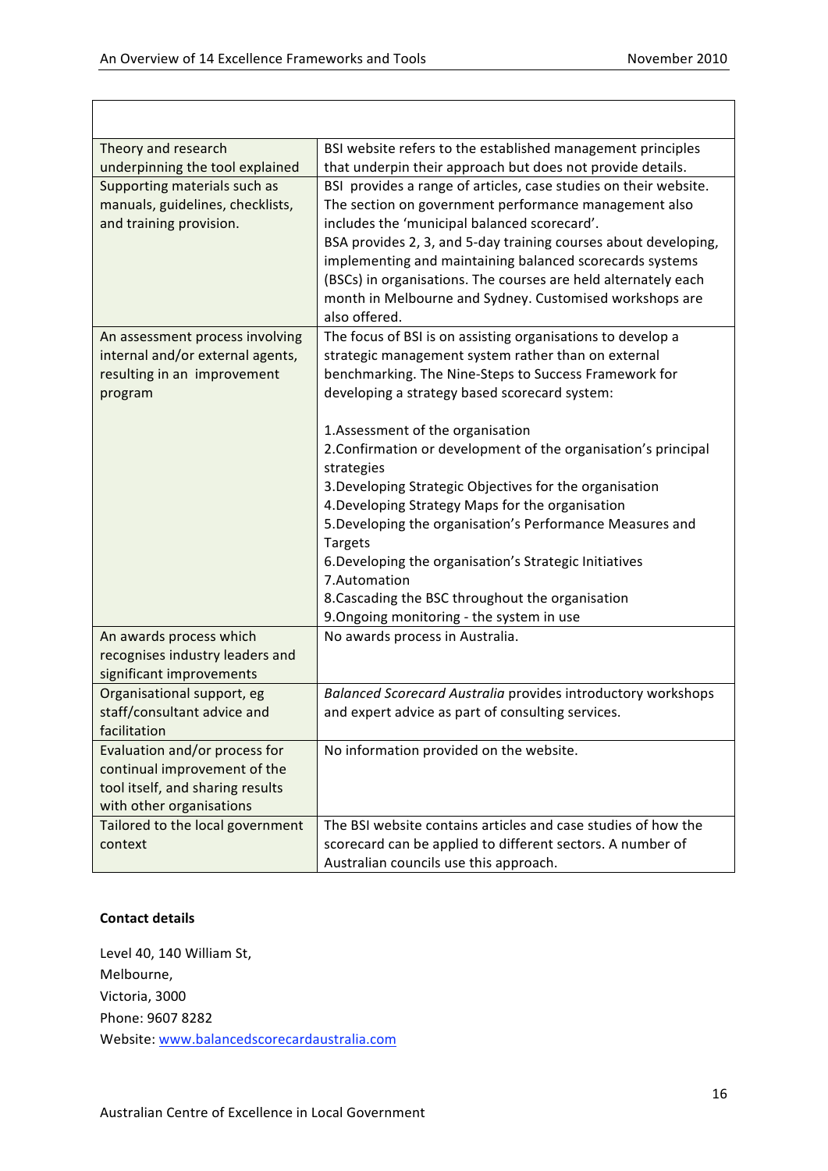| Theory and research              | BSI website refers to the established management principles      |
|----------------------------------|------------------------------------------------------------------|
| underpinning the tool explained  | that underpin their approach but does not provide details.       |
| Supporting materials such as     | BSI provides a range of articles, case studies on their website. |
| manuals, guidelines, checklists, | The section on government performance management also            |
| and training provision.          | includes the 'municipal balanced scorecard'.                     |
|                                  | BSA provides 2, 3, and 5-day training courses about developing,  |
|                                  | implementing and maintaining balanced scorecards systems         |
|                                  | (BSCs) in organisations. The courses are held alternately each   |
|                                  | month in Melbourne and Sydney. Customised workshops are          |
|                                  | also offered.                                                    |
| An assessment process involving  | The focus of BSI is on assisting organisations to develop a      |
| internal and/or external agents, | strategic management system rather than on external              |
| resulting in an improvement      | benchmarking. The Nine-Steps to Success Framework for            |
| program                          | developing a strategy based scorecard system:                    |
|                                  |                                                                  |
|                                  | 1.Assessment of the organisation                                 |
|                                  | 2. Confirmation or development of the organisation's principal   |
|                                  | strategies                                                       |
|                                  | 3. Developing Strategic Objectives for the organisation          |
|                                  | 4. Developing Strategy Maps for the organisation                 |
|                                  | 5. Developing the organisation's Performance Measures and        |
|                                  | <b>Targets</b>                                                   |
|                                  | 6. Developing the organisation's Strategic Initiatives           |
|                                  | 7.Automation                                                     |
|                                  | 8. Cascading the BSC throughout the organisation                 |
|                                  | 9. Ongoing monitoring - the system in use                        |
| An awards process which          | No awards process in Australia.                                  |
| recognises industry leaders and  |                                                                  |
| significant improvements         |                                                                  |
| Organisational support, eg       | Balanced Scorecard Australia provides introductory workshops     |
| staff/consultant advice and      | and expert advice as part of consulting services.                |
| facilitation                     |                                                                  |
| Evaluation and/or process for    | No information provided on the website.                          |
| continual improvement of the     |                                                                  |
| tool itself, and sharing results |                                                                  |
| with other organisations         |                                                                  |
| Tailored to the local government | The BSI website contains articles and case studies of how the    |
| context                          | scorecard can be applied to different sectors. A number of       |
|                                  | Australian councils use this approach.                           |

Level
40,
140
William
St, Melbourne, Victoria,
3000 Phone:
9607
8282 Website:
www.balancedscorecardaustralia.com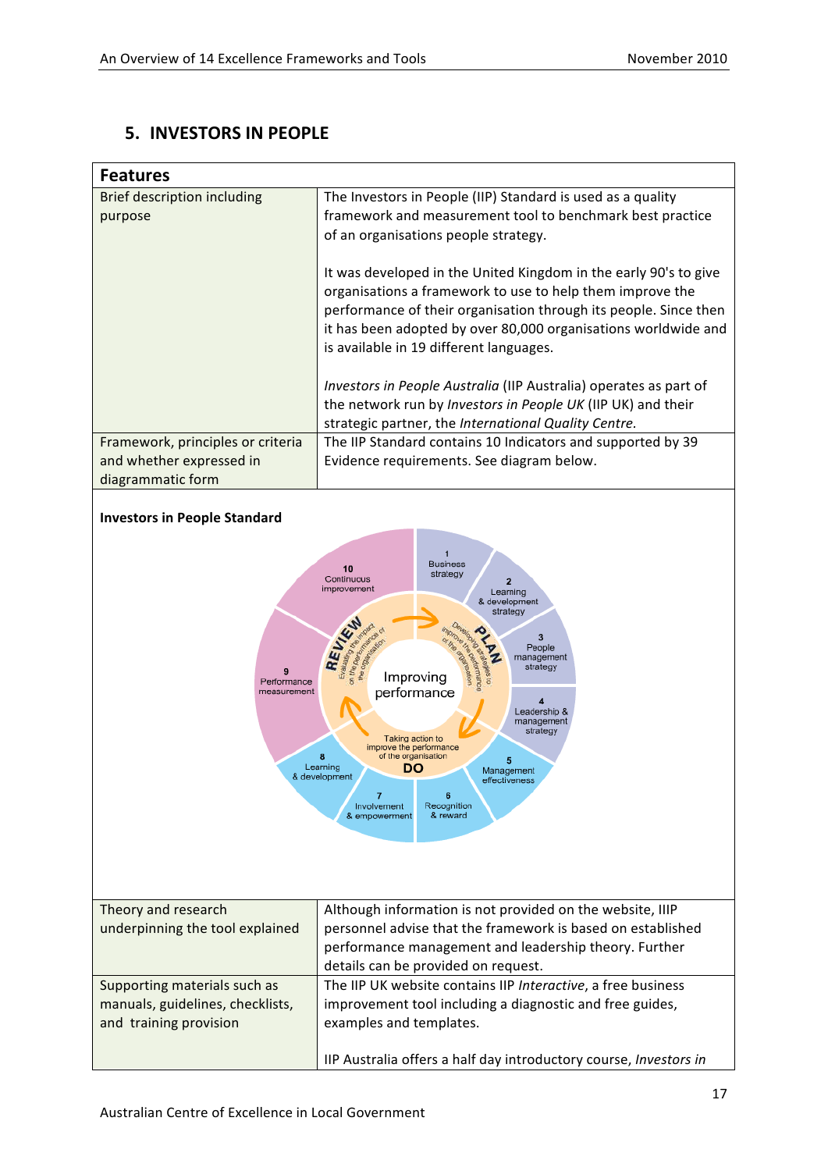### **5. INVESTORS
IN
PEOPLE**

| <b>Features</b>                   |                                                                                                                                                                                                                                                                                                                |  |
|-----------------------------------|----------------------------------------------------------------------------------------------------------------------------------------------------------------------------------------------------------------------------------------------------------------------------------------------------------------|--|
| Brief description including       | The Investors in People (IIP) Standard is used as a quality                                                                                                                                                                                                                                                    |  |
| purpose                           | framework and measurement tool to benchmark best practice                                                                                                                                                                                                                                                      |  |
|                                   | of an organisations people strategy.                                                                                                                                                                                                                                                                           |  |
|                                   | It was developed in the United Kingdom in the early 90's to give<br>organisations a framework to use to help them improve the<br>performance of their organisation through its people. Since then<br>it has been adopted by over 80,000 organisations worldwide and<br>is available in 19 different languages. |  |
|                                   | Investors in People Australia (IIP Australia) operates as part of                                                                                                                                                                                                                                              |  |
|                                   | the network run by Investors in People UK (IIP UK) and their                                                                                                                                                                                                                                                   |  |
|                                   | strategic partner, the International Quality Centre.                                                                                                                                                                                                                                                           |  |
| Framework, principles or criteria | The IIP Standard contains 10 Indicators and supported by 39                                                                                                                                                                                                                                                    |  |
| and whether expressed in          | Evidence requirements. See diagram below.                                                                                                                                                                                                                                                                      |  |
| diagrammatic form                 |                                                                                                                                                                                                                                                                                                                |  |
|                                   |                                                                                                                                                                                                                                                                                                                |  |



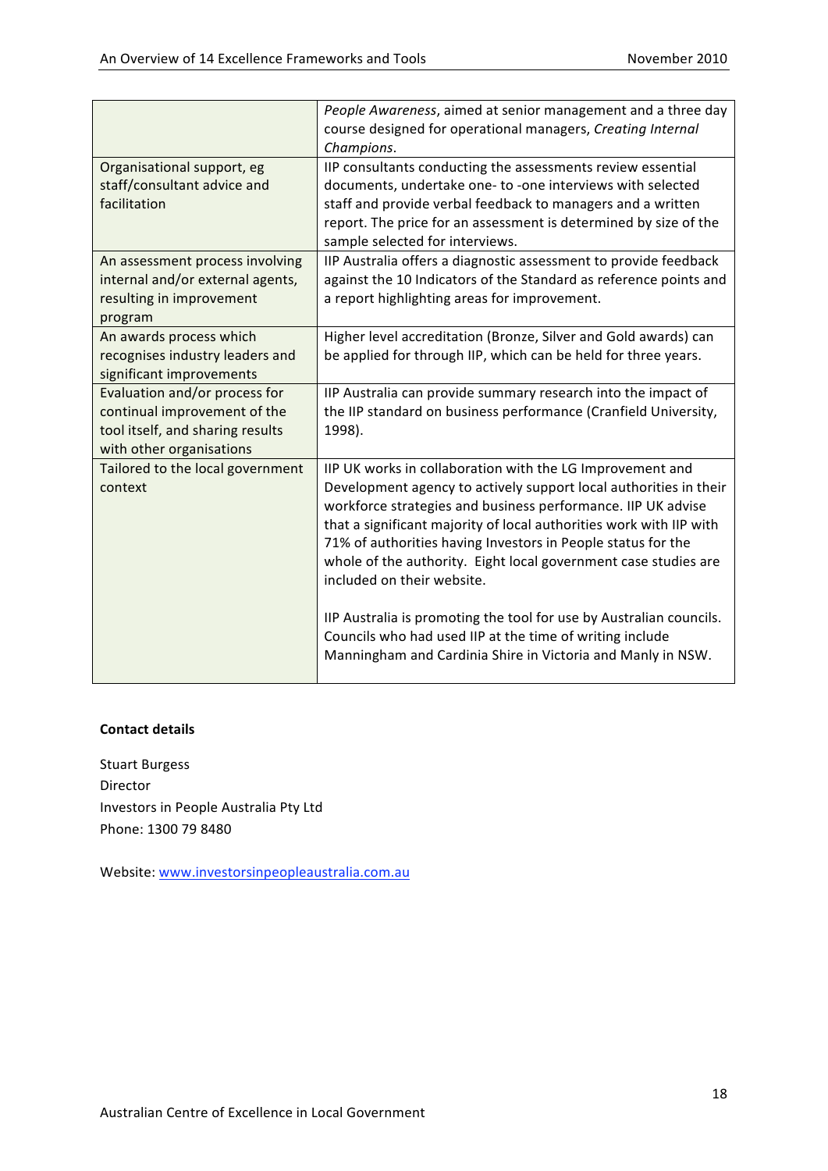|                                             | People Awareness, aimed at senior management and a three day                                                                   |
|---------------------------------------------|--------------------------------------------------------------------------------------------------------------------------------|
|                                             | course designed for operational managers, Creating Internal                                                                    |
|                                             | Champions.                                                                                                                     |
| Organisational support, eg                  | IIP consultants conducting the assessments review essential                                                                    |
| staff/consultant advice and                 | documents, undertake one- to -one interviews with selected                                                                     |
| facilitation                                | staff and provide verbal feedback to managers and a written                                                                    |
|                                             | report. The price for an assessment is determined by size of the                                                               |
|                                             | sample selected for interviews.                                                                                                |
| An assessment process involving             | IIP Australia offers a diagnostic assessment to provide feedback                                                               |
| internal and/or external agents,            | against the 10 Indicators of the Standard as reference points and                                                              |
| resulting in improvement                    | a report highlighting areas for improvement.                                                                                   |
| program                                     |                                                                                                                                |
| An awards process which                     | Higher level accreditation (Bronze, Silver and Gold awards) can                                                                |
| recognises industry leaders and             | be applied for through IIP, which can be held for three years.                                                                 |
| significant improvements                    |                                                                                                                                |
| Evaluation and/or process for               | IIP Australia can provide summary research into the impact of                                                                  |
| continual improvement of the                | the IIP standard on business performance (Cranfield University,                                                                |
| tool itself, and sharing results            | 1998).                                                                                                                         |
| with other organisations                    |                                                                                                                                |
| Tailored to the local government<br>context | IIP UK works in collaboration with the LG Improvement and<br>Development agency to actively support local authorities in their |
|                                             | workforce strategies and business performance. IIP UK advise                                                                   |
|                                             | that a significant majority of local authorities work with IIP with                                                            |
|                                             | 71% of authorities having Investors in People status for the                                                                   |
|                                             | whole of the authority. Eight local government case studies are                                                                |
|                                             | included on their website.                                                                                                     |
|                                             | IIP Australia is promoting the tool for use by Australian councils.                                                            |
|                                             | Councils who had used IIP at the time of writing include                                                                       |
|                                             | Manningham and Cardinia Shire in Victoria and Manly in NSW.                                                                    |
|                                             |                                                                                                                                |

Stuart
Burgess Director Investors
in
People
Australia
Pty
Ltd Phone:
1300
79
8480

Website:
www.investorsinpeopleaustralia.com.au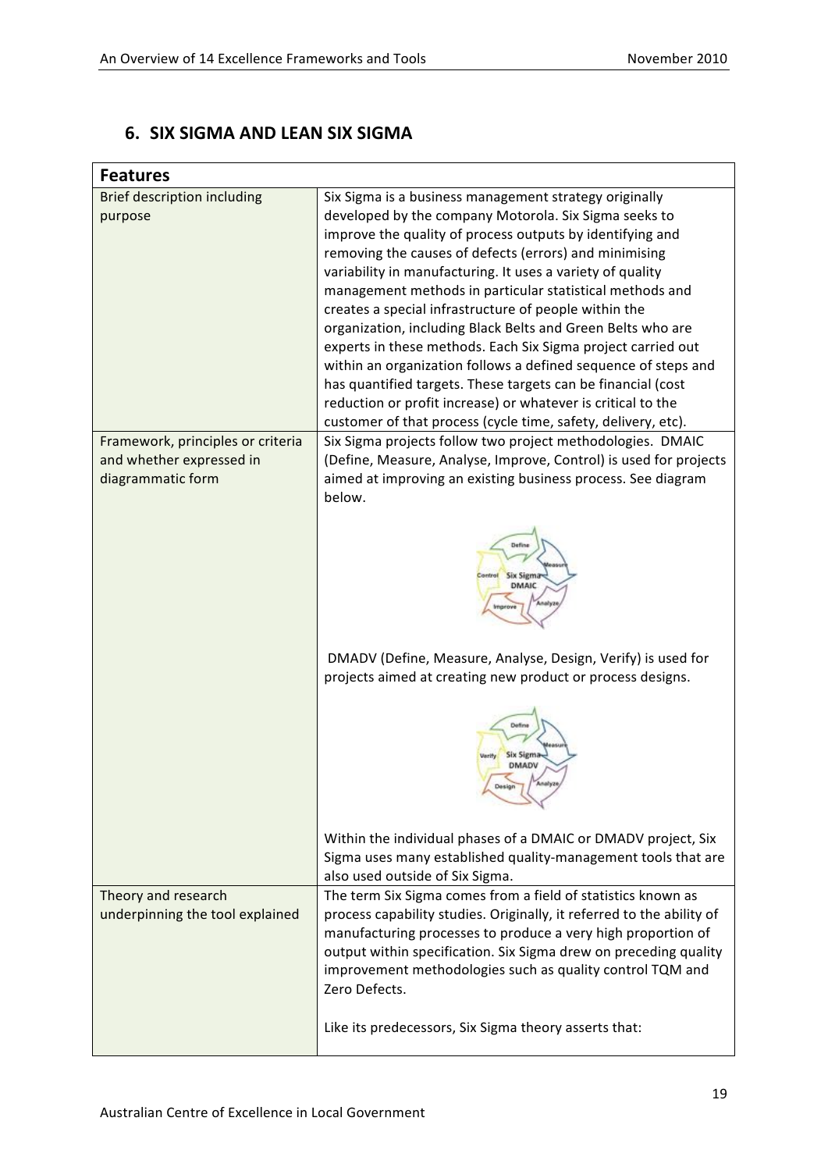### **6. SIX
SIGMA
AND
LEAN
SIX
SIGMA**

| <b>Features</b>                    |                                                                                                                                                                                                                |
|------------------------------------|----------------------------------------------------------------------------------------------------------------------------------------------------------------------------------------------------------------|
| <b>Brief description including</b> | Six Sigma is a business management strategy originally                                                                                                                                                         |
| purpose                            | developed by the company Motorola. Six Sigma seeks to                                                                                                                                                          |
|                                    | improve the quality of process outputs by identifying and                                                                                                                                                      |
|                                    | removing the causes of defects (errors) and minimising                                                                                                                                                         |
|                                    | variability in manufacturing. It uses a variety of quality                                                                                                                                                     |
|                                    | management methods in particular statistical methods and                                                                                                                                                       |
|                                    | creates a special infrastructure of people within the                                                                                                                                                          |
|                                    | organization, including Black Belts and Green Belts who are<br>experts in these methods. Each Six Sigma project carried out                                                                                    |
|                                    | within an organization follows a defined sequence of steps and                                                                                                                                                 |
|                                    | has quantified targets. These targets can be financial (cost                                                                                                                                                   |
|                                    | reduction or profit increase) or whatever is critical to the                                                                                                                                                   |
|                                    | customer of that process (cycle time, safety, delivery, etc).                                                                                                                                                  |
| Framework, principles or criteria  | Six Sigma projects follow two project methodologies. DMAIC                                                                                                                                                     |
| and whether expressed in           | (Define, Measure, Analyse, Improve, Control) is used for projects                                                                                                                                              |
| diagrammatic form                  | aimed at improving an existing business process. See diagram                                                                                                                                                   |
|                                    | below.                                                                                                                                                                                                         |
|                                    |                                                                                                                                                                                                                |
|                                    | Six Sigma<br><b>DMAIC</b>                                                                                                                                                                                      |
|                                    | DMADV (Define, Measure, Analyse, Design, Verify) is used for<br>projects aimed at creating new product or process designs.                                                                                     |
|                                    | <b>Six Sigma</b><br><b>DMADV</b>                                                                                                                                                                               |
|                                    | Within the individual phases of a DMAIC or DMADV project, Six                                                                                                                                                  |
|                                    | Sigma uses many established quality-management tools that are                                                                                                                                                  |
|                                    | also used outside of Six Sigma.                                                                                                                                                                                |
| Theory and research                | The term Six Sigma comes from a field of statistics known as                                                                                                                                                   |
| underpinning the tool explained    | process capability studies. Originally, it referred to the ability of                                                                                                                                          |
|                                    | manufacturing processes to produce a very high proportion of<br>output within specification. Six Sigma drew on preceding quality<br>improvement methodologies such as quality control TQM and<br>Zero Defects. |
|                                    | Like its predecessors, Six Sigma theory asserts that:                                                                                                                                                          |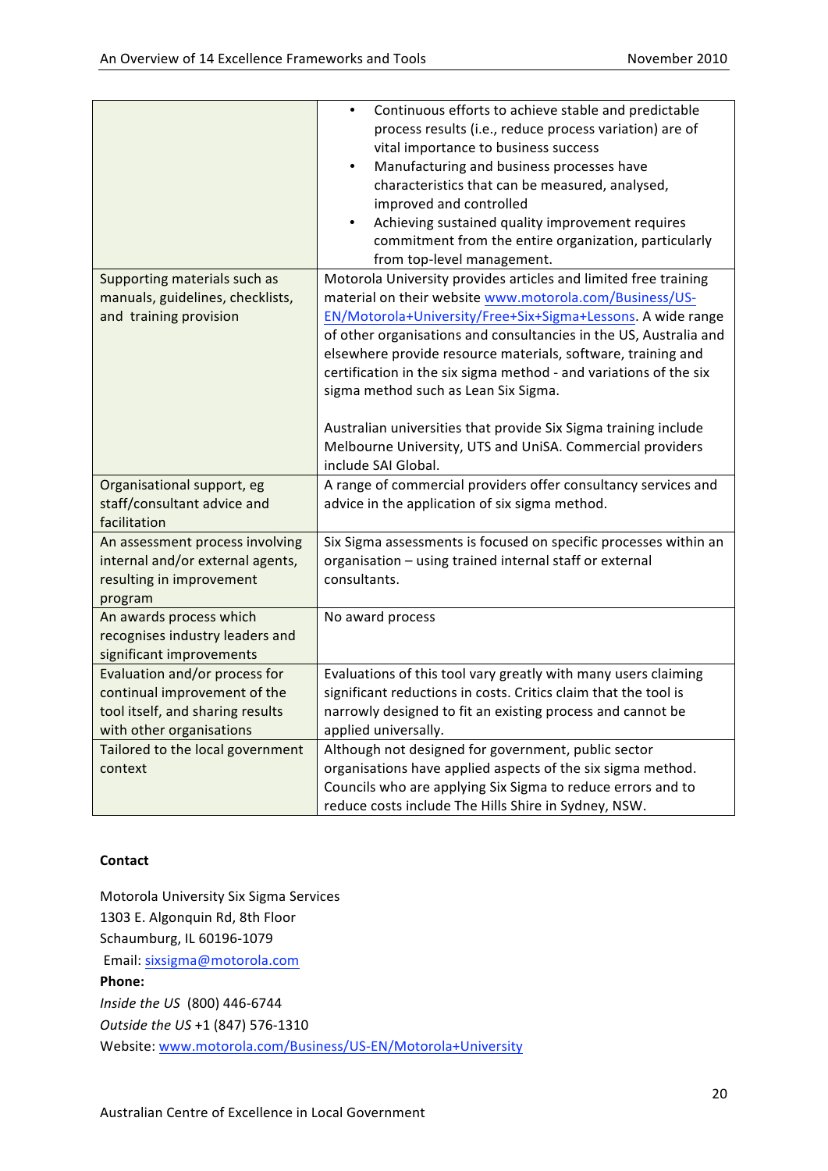|                                  | Continuous efforts to achieve stable and predictable<br>$\bullet$ |
|----------------------------------|-------------------------------------------------------------------|
|                                  | process results (i.e., reduce process variation) are of           |
|                                  | vital importance to business success                              |
|                                  | Manufacturing and business processes have<br>$\bullet$            |
|                                  | characteristics that can be measured, analysed,                   |
|                                  | improved and controlled                                           |
|                                  | Achieving sustained quality improvement requires                  |
|                                  | commitment from the entire organization, particularly             |
|                                  | from top-level management.                                        |
| Supporting materials such as     | Motorola University provides articles and limited free training   |
| manuals, guidelines, checklists, | material on their website www.motorola.com/Business/US-           |
| and training provision           | EN/Motorola+University/Free+Six+Sigma+Lessons. A wide range       |
|                                  | of other organisations and consultancies in the US, Australia and |
|                                  | elsewhere provide resource materials, software, training and      |
|                                  | certification in the six sigma method - and variations of the six |
|                                  | sigma method such as Lean Six Sigma.                              |
|                                  |                                                                   |
|                                  | Australian universities that provide Six Sigma training include   |
|                                  | Melbourne University, UTS and UniSA. Commercial providers         |
|                                  | include SAI Global.                                               |
| Organisational support, eg       | A range of commercial providers offer consultancy services and    |
| staff/consultant advice and      | advice in the application of six sigma method.                    |
| facilitation                     |                                                                   |
| An assessment process involving  | Six Sigma assessments is focused on specific processes within an  |
| internal and/or external agents, | organisation - using trained internal staff or external           |
| resulting in improvement         | consultants.                                                      |
| program                          |                                                                   |
| An awards process which          | No award process                                                  |
| recognises industry leaders and  |                                                                   |
| significant improvements         |                                                                   |
| Evaluation and/or process for    | Evaluations of this tool vary greatly with many users claiming    |
| continual improvement of the     | significant reductions in costs. Critics claim that the tool is   |
| tool itself, and sharing results | narrowly designed to fit an existing process and cannot be        |
| with other organisations         | applied universally.                                              |
| Tailored to the local government | Although not designed for government, public sector               |
| context                          | organisations have applied aspects of the six sigma method.       |
|                                  | Councils who are applying Six Sigma to reduce errors and to       |
|                                  | reduce costs include The Hills Shire in Sydney, NSW.              |

### **Contact**

Motorola
University
Six
Sigma
Services 1303
E.
Algonquin
Rd,
8th
Floor Schaumburg,
IL
60196‐1079 Email:
sixsigma@motorola.com **Phone:** *Inside
the
US* (800)
446‐6744 *Outside
the
US* +1
(847)
576‐1310 Website:
www.motorola.com/Business/US‐EN/Motorola+University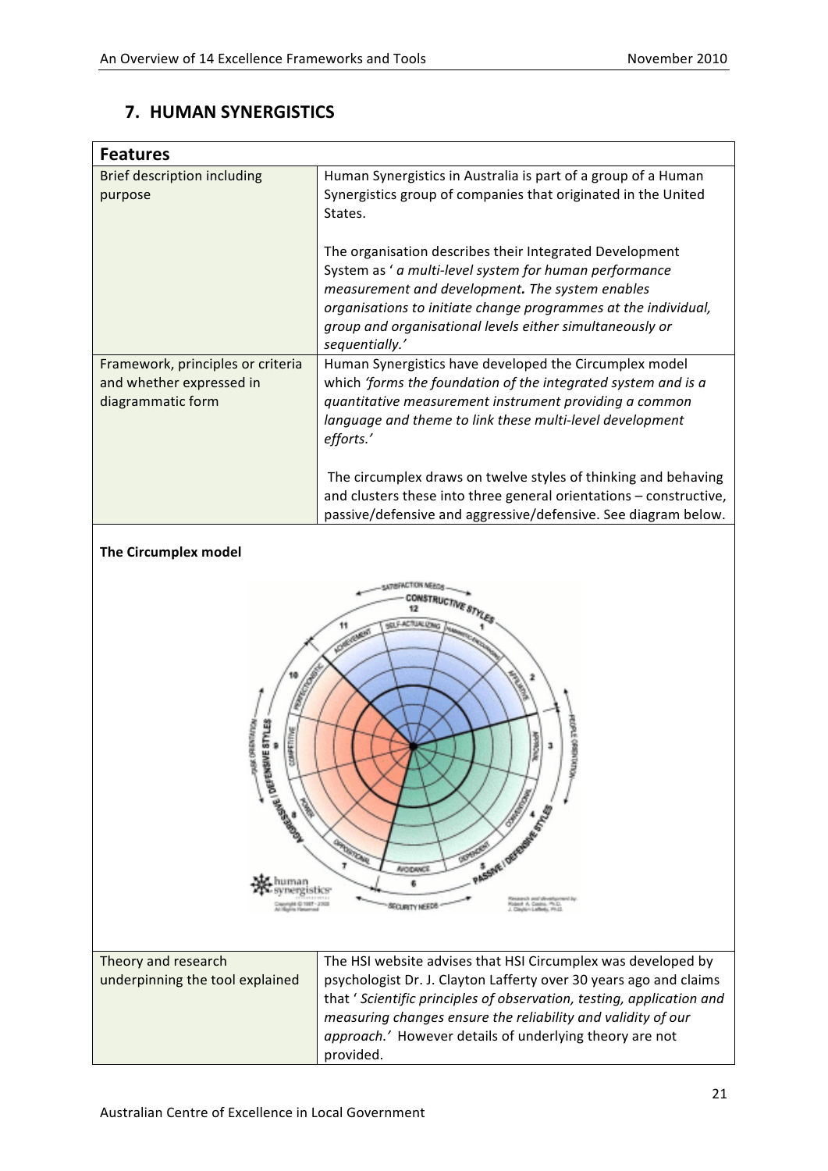### **7. HUMAN
SYNERGISTICS**

| <b>Features</b>                                                                        |                                                                                                                                                                                                                                                                                                                      |
|----------------------------------------------------------------------------------------|----------------------------------------------------------------------------------------------------------------------------------------------------------------------------------------------------------------------------------------------------------------------------------------------------------------------|
| <b>Brief description including</b><br>purpose                                          | Human Synergistics in Australia is part of a group of a Human<br>Synergistics group of companies that originated in the United<br>States.                                                                                                                                                                            |
|                                                                                        | The organisation describes their Integrated Development<br>System as ' a multi-level system for human performance<br>measurement and development. The system enables<br>organisations to initiate change programmes at the individual,<br>group and organisational levels either simultaneously or<br>sequentially.' |
| Framework, principles or criteria<br>and whether expressed in<br>diagrammatic form     | Human Synergistics have developed the Circumplex model<br>which 'forms the foundation of the integrated system and is a<br>quantitative measurement instrument providing a common<br>language and theme to link these multi-level development<br>efforts.'                                                           |
|                                                                                        | The circumplex draws on twelve styles of thinking and behaving<br>and clusters these into three general orientations - constructive,<br>passive/defensive and aggressive/defensive. See diagram below.                                                                                                               |
| The Circumplex model                                                                   |                                                                                                                                                                                                                                                                                                                      |
| ORIENTATION<br>ESTYLES<br>물<br><b>INSTERED ASSESSED</b><br><b>Control</b><br>Ste human | <b>STRUCTIVE S</b><br><b>CLE-ACTUALUS</b><br>inow.<br>PASSIVE I DEVELOPE AS IN<br><b>ARTEROOM</b><br>7<br><b>AVOIDANCE</b><br>¢,                                                                                                                                                                                     |

| Theory and research             | The HSI website advises that HSI Circumplex was developed by          |
|---------------------------------|-----------------------------------------------------------------------|
| underpinning the tool explained | psychologist Dr. J. Clayton Lafferty over 30 years ago and claims     |
|                                 | that ' Scientific principles of observation, testing, application and |
|                                 | measuring changes ensure the reliability and validity of our          |
|                                 | approach.' However details of underlying theory are not               |
|                                 | provided.                                                             |

6

SECURITY NEEDS -

Research and development<br>Rident A. Cooke, Ph.D.<br>J. Clayton Laffedg, Ph.D.

human<br>synergistics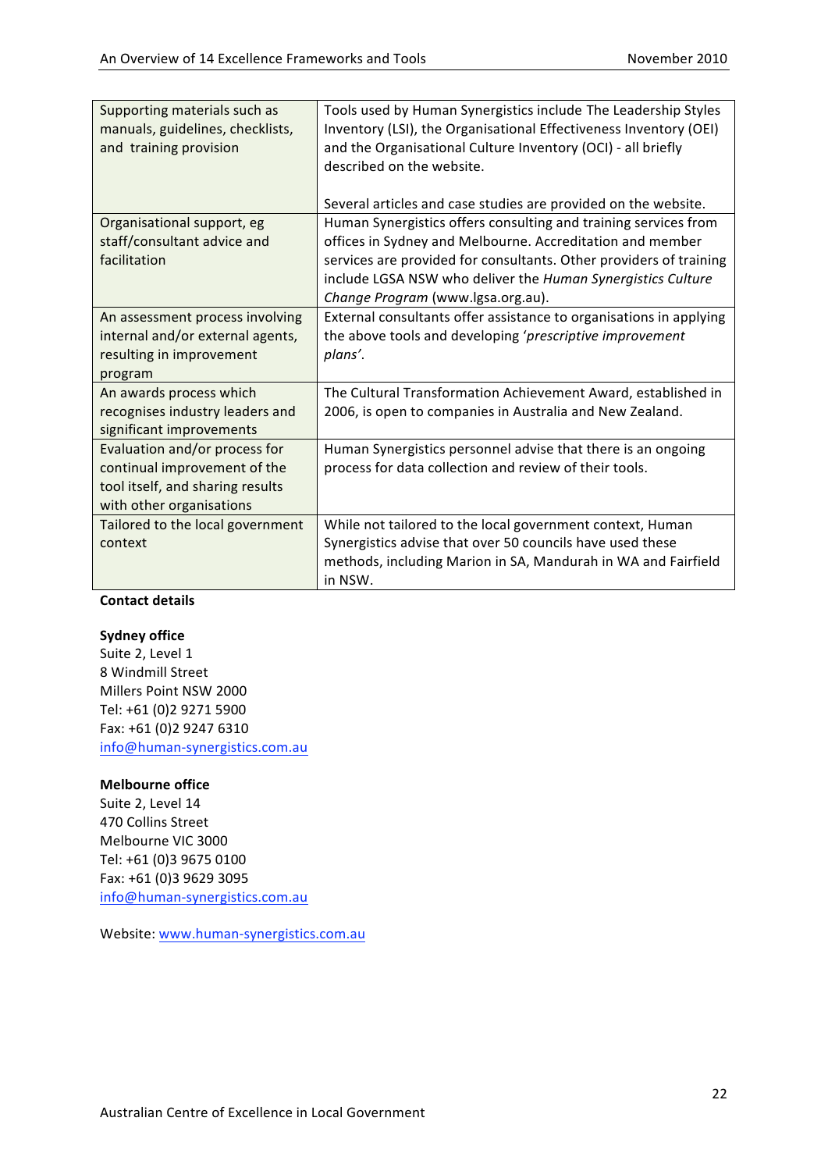| Supporting materials such as<br>manuals, guidelines, checklists,<br>and training provision                                    | Tools used by Human Synergistics include The Leadership Styles<br>Inventory (LSI), the Organisational Effectiveness Inventory (OEI)<br>and the Organisational Culture Inventory (OCI) - all briefly<br>described on the website.                                                                       |
|-------------------------------------------------------------------------------------------------------------------------------|--------------------------------------------------------------------------------------------------------------------------------------------------------------------------------------------------------------------------------------------------------------------------------------------------------|
|                                                                                                                               | Several articles and case studies are provided on the website.                                                                                                                                                                                                                                         |
| Organisational support, eg<br>staff/consultant advice and<br>facilitation                                                     | Human Synergistics offers consulting and training services from<br>offices in Sydney and Melbourne. Accreditation and member<br>services are provided for consultants. Other providers of training<br>include LGSA NSW who deliver the Human Synergistics Culture<br>Change Program (www.lgsa.org.au). |
| An assessment process involving<br>internal and/or external agents,<br>resulting in improvement<br>program                    | External consultants offer assistance to organisations in applying<br>the above tools and developing 'prescriptive improvement<br>plans'.                                                                                                                                                              |
| An awards process which<br>recognises industry leaders and<br>significant improvements                                        | The Cultural Transformation Achievement Award, established in<br>2006, is open to companies in Australia and New Zealand.                                                                                                                                                                              |
| Evaluation and/or process for<br>continual improvement of the<br>tool itself, and sharing results<br>with other organisations | Human Synergistics personnel advise that there is an ongoing<br>process for data collection and review of their tools.                                                                                                                                                                                 |
| Tailored to the local government<br>context                                                                                   | While not tailored to the local government context, Human<br>Synergistics advise that over 50 councils have used these<br>methods, including Marion in SA, Mandurah in WA and Fairfield<br>in NSW.                                                                                                     |

#### **Sydney office**

Suite
2,
Level
1 8
Windmill
Street Millers
Point
NSW
2000 Tel:
+61
(0)2
9271
5900 Fax:
+61
(0)2
9247
6310 info@human‐synergistics.com.au

#### **Melbourne office**

Suite
2,
Level
14 470
Collins
Street Melbourne
VIC
3000 Tel:
+61
(0)3
9675
0100 Fax:
+61
(0)3
9629
3095 info@human‐synergistics.com.au

Website:
www.human‐synergistics.com.au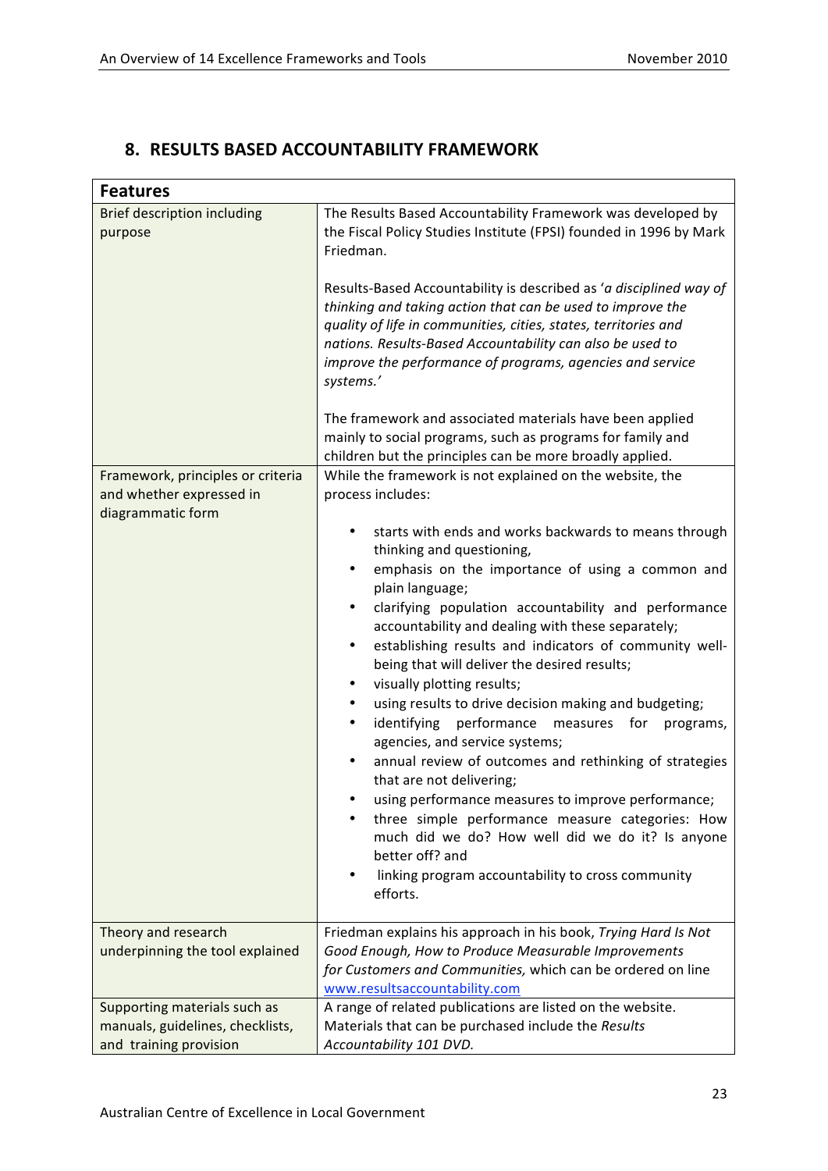$\overline{1}$ 

### **8. RESULTS
BASED
ACCOUNTABILITY
FRAMEWORK**

| <b>Features</b>                                                                                                                     |                                                                                                                                                                                                                                                                                                                                                                                                                                                                                                                                                                                                                                                                                                                                                                                                                                                                                                                                                                                                                                                                                                                                                                                                                                                                                                                                                                                                                                                                                                                                                                                                                                                                                                                                                              |
|-------------------------------------------------------------------------------------------------------------------------------------|--------------------------------------------------------------------------------------------------------------------------------------------------------------------------------------------------------------------------------------------------------------------------------------------------------------------------------------------------------------------------------------------------------------------------------------------------------------------------------------------------------------------------------------------------------------------------------------------------------------------------------------------------------------------------------------------------------------------------------------------------------------------------------------------------------------------------------------------------------------------------------------------------------------------------------------------------------------------------------------------------------------------------------------------------------------------------------------------------------------------------------------------------------------------------------------------------------------------------------------------------------------------------------------------------------------------------------------------------------------------------------------------------------------------------------------------------------------------------------------------------------------------------------------------------------------------------------------------------------------------------------------------------------------------------------------------------------------------------------------------------------------|
| <b>Brief description including</b><br>purpose<br>Framework, principles or criteria<br>and whether expressed in<br>diagrammatic form | The Results Based Accountability Framework was developed by<br>the Fiscal Policy Studies Institute (FPSI) founded in 1996 by Mark<br>Friedman.<br>Results-Based Accountability is described as 'a disciplined way of<br>thinking and taking action that can be used to improve the<br>quality of life in communities, cities, states, territories and<br>nations. Results-Based Accountability can also be used to<br>improve the performance of programs, agencies and service<br>systems.'<br>The framework and associated materials have been applied<br>mainly to social programs, such as programs for family and<br>children but the principles can be more broadly applied.<br>While the framework is not explained on the website, the<br>process includes:<br>starts with ends and works backwards to means through<br>$\bullet$<br>thinking and questioning,<br>emphasis on the importance of using a common and<br>$\bullet$<br>plain language;<br>clarifying population accountability and performance<br>$\bullet$<br>accountability and dealing with these separately;<br>establishing results and indicators of community well-<br>$\bullet$<br>being that will deliver the desired results;<br>visually plotting results;<br>$\bullet$<br>using results to drive decision making and budgeting;<br>$\bullet$<br>identifying performance<br>measures for<br>programs,<br>٠<br>agencies, and service systems;<br>annual review of outcomes and rethinking of strategies<br>that are not delivering;<br>using performance measures to improve performance;<br>٠<br>three simple performance measure categories: How<br>much did we do? How well did we do it? Is anyone<br>better off? and<br>linking program accountability to cross community |
|                                                                                                                                     | efforts.                                                                                                                                                                                                                                                                                                                                                                                                                                                                                                                                                                                                                                                                                                                                                                                                                                                                                                                                                                                                                                                                                                                                                                                                                                                                                                                                                                                                                                                                                                                                                                                                                                                                                                                                                     |
| Theory and research<br>underpinning the tool explained                                                                              | Friedman explains his approach in his book, Trying Hard Is Not<br>Good Enough, How to Produce Measurable Improvements<br>for Customers and Communities, which can be ordered on line<br>www.resultsaccountability.com                                                                                                                                                                                                                                                                                                                                                                                                                                                                                                                                                                                                                                                                                                                                                                                                                                                                                                                                                                                                                                                                                                                                                                                                                                                                                                                                                                                                                                                                                                                                        |
| Supporting materials such as<br>manuals, guidelines, checklists,<br>and training provision                                          | A range of related publications are listed on the website.<br>Materials that can be purchased include the Results<br>Accountability 101 DVD.                                                                                                                                                                                                                                                                                                                                                                                                                                                                                                                                                                                                                                                                                                                                                                                                                                                                                                                                                                                                                                                                                                                                                                                                                                                                                                                                                                                                                                                                                                                                                                                                                 |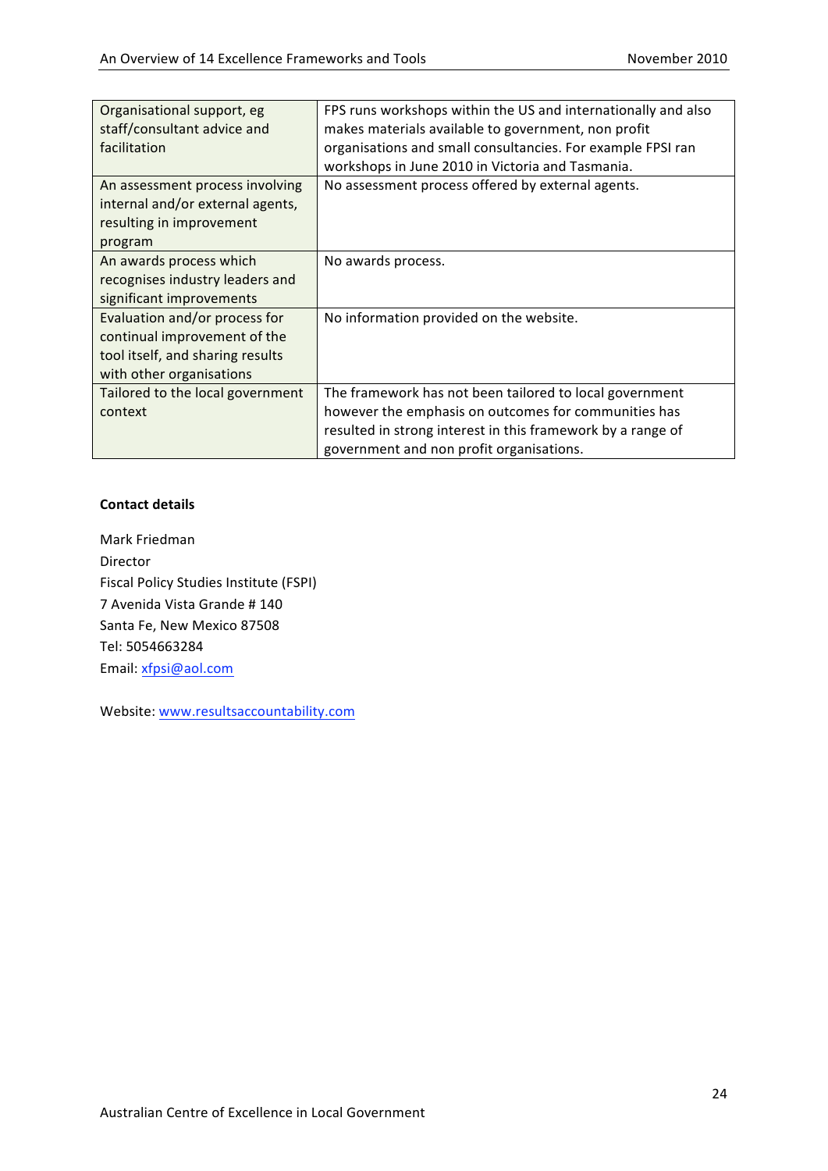| Organisational support, eg<br>staff/consultant advice and<br>facilitation                                                     | FPS runs workshops within the US and internationally and also<br>makes materials available to government, non profit<br>organisations and small consultancies. For example FPSI ran<br>workshops in June 2010 in Victoria and Tasmania. |
|-------------------------------------------------------------------------------------------------------------------------------|-----------------------------------------------------------------------------------------------------------------------------------------------------------------------------------------------------------------------------------------|
| An assessment process involving<br>internal and/or external agents,<br>resulting in improvement<br>program                    | No assessment process offered by external agents.                                                                                                                                                                                       |
| An awards process which<br>recognises industry leaders and<br>significant improvements                                        | No awards process.                                                                                                                                                                                                                      |
| Evaluation and/or process for<br>continual improvement of the<br>tool itself, and sharing results<br>with other organisations | No information provided on the website.                                                                                                                                                                                                 |
| Tailored to the local government<br>context                                                                                   | The framework has not been tailored to local government<br>however the emphasis on outcomes for communities has<br>resulted in strong interest in this framework by a range of<br>government and non profit organisations.              |

Mark
Friedman Director Fiscal
Policy
Studies
Institute
(FSPI) 7
Avenida
Vista
Grande
#
140 Santa
Fe,
New Mexico
87508 Tel:
5054663284 Email:
xfpsi@aol.com

Website:
www.resultsaccountability.com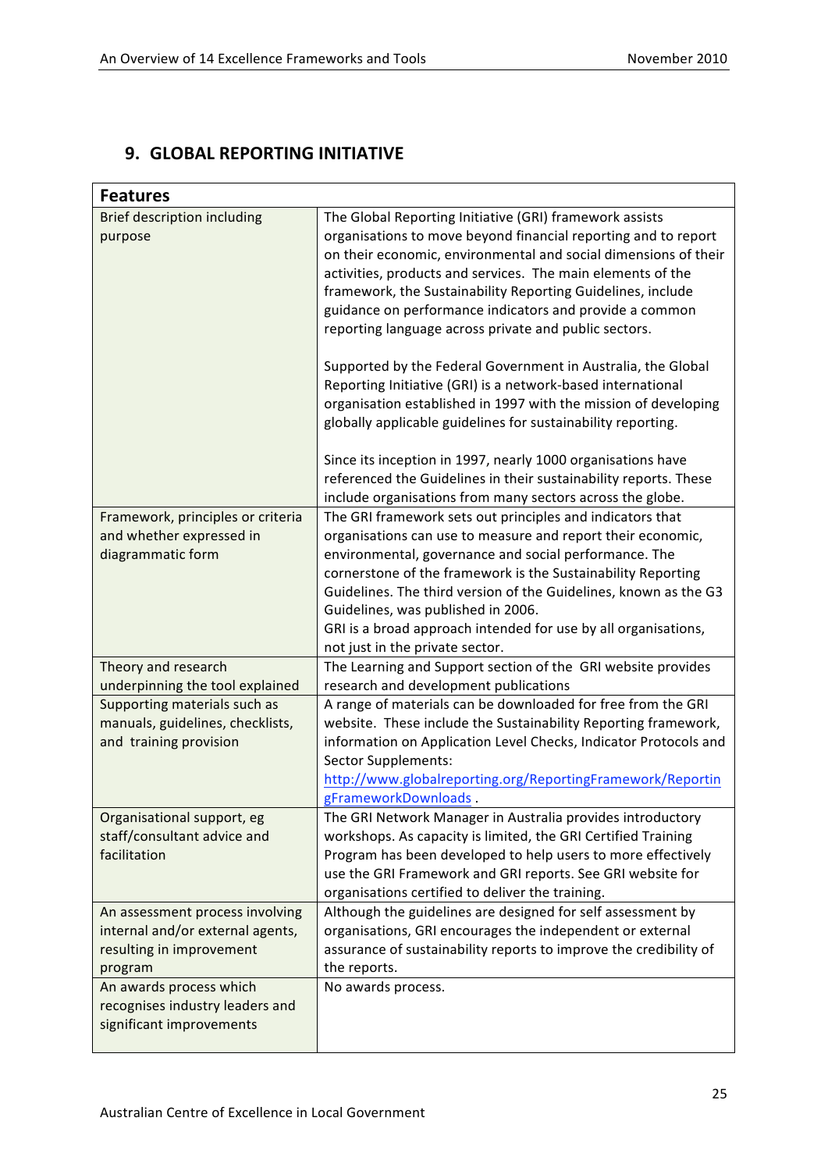### **9. GLOBAL
REPORTING
INITIATIVE**

| <b>Features</b>                                                                                            |                                                                                                                                                                                                                                                                                                                                                                                                                                                                                                                                                                                                                                                                                                                                                                                                                                                     |
|------------------------------------------------------------------------------------------------------------|-----------------------------------------------------------------------------------------------------------------------------------------------------------------------------------------------------------------------------------------------------------------------------------------------------------------------------------------------------------------------------------------------------------------------------------------------------------------------------------------------------------------------------------------------------------------------------------------------------------------------------------------------------------------------------------------------------------------------------------------------------------------------------------------------------------------------------------------------------|
| <b>Brief description including</b><br>purpose                                                              | The Global Reporting Initiative (GRI) framework assists<br>organisations to move beyond financial reporting and to report<br>on their economic, environmental and social dimensions of their<br>activities, products and services. The main elements of the<br>framework, the Sustainability Reporting Guidelines, include<br>guidance on performance indicators and provide a common<br>reporting language across private and public sectors.<br>Supported by the Federal Government in Australia, the Global<br>Reporting Initiative (GRI) is a network-based international<br>organisation established in 1997 with the mission of developing<br>globally applicable guidelines for sustainability reporting.<br>Since its inception in 1997, nearly 1000 organisations have<br>referenced the Guidelines in their sustainability reports. These |
|                                                                                                            | include organisations from many sectors across the globe.                                                                                                                                                                                                                                                                                                                                                                                                                                                                                                                                                                                                                                                                                                                                                                                           |
| Framework, principles or criteria<br>and whether expressed in<br>diagrammatic form                         | The GRI framework sets out principles and indicators that<br>organisations can use to measure and report their economic,<br>environmental, governance and social performance. The<br>cornerstone of the framework is the Sustainability Reporting<br>Guidelines. The third version of the Guidelines, known as the G3<br>Guidelines, was published in 2006.<br>GRI is a broad approach intended for use by all organisations,<br>not just in the private sector.                                                                                                                                                                                                                                                                                                                                                                                    |
| Theory and research                                                                                        | The Learning and Support section of the GRI website provides                                                                                                                                                                                                                                                                                                                                                                                                                                                                                                                                                                                                                                                                                                                                                                                        |
| underpinning the tool explained                                                                            | research and development publications                                                                                                                                                                                                                                                                                                                                                                                                                                                                                                                                                                                                                                                                                                                                                                                                               |
| Supporting materials such as<br>manuals, guidelines, checklists,<br>and training provision                 | A range of materials can be downloaded for free from the GRI<br>website. These include the Sustainability Reporting framework,<br>information on Application Level Checks, Indicator Protocols and<br><b>Sector Supplements:</b><br>http://www.globalreporting.org/ReportingFramework/Reportin<br>gFrameworkDownloads.                                                                                                                                                                                                                                                                                                                                                                                                                                                                                                                              |
| Organisational support, eg<br>staff/consultant advice and<br>facilitation                                  | The GRI Network Manager in Australia provides introductory<br>workshops. As capacity is limited, the GRI Certified Training<br>Program has been developed to help users to more effectively<br>use the GRI Framework and GRI reports. See GRI website for<br>organisations certified to deliver the training.                                                                                                                                                                                                                                                                                                                                                                                                                                                                                                                                       |
| An assessment process involving<br>internal and/or external agents,<br>resulting in improvement<br>program | Although the guidelines are designed for self assessment by<br>organisations, GRI encourages the independent or external<br>assurance of sustainability reports to improve the credibility of<br>the reports.                                                                                                                                                                                                                                                                                                                                                                                                                                                                                                                                                                                                                                       |
| An awards process which<br>recognises industry leaders and<br>significant improvements                     | No awards process.                                                                                                                                                                                                                                                                                                                                                                                                                                                                                                                                                                                                                                                                                                                                                                                                                                  |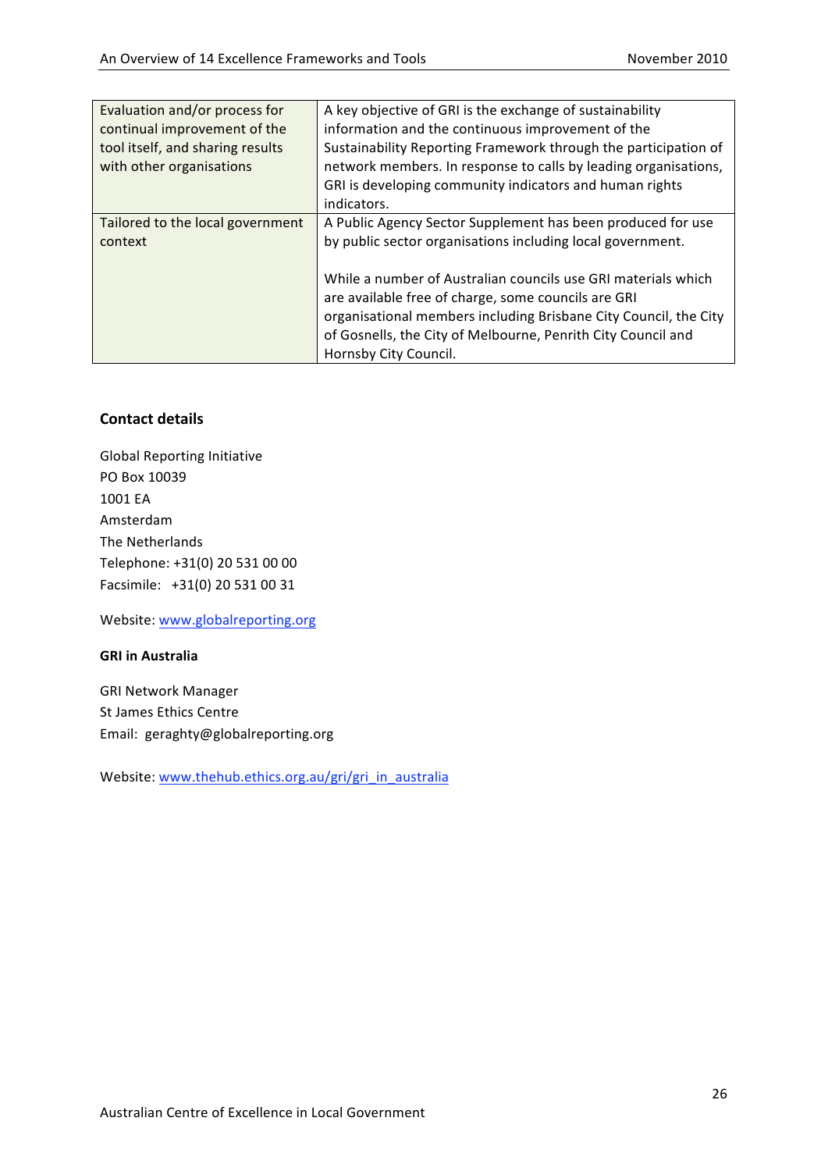| Evaluation and/or process for    | A key objective of GRI is the exchange of sustainability         |
|----------------------------------|------------------------------------------------------------------|
| continual improvement of the     | information and the continuous improvement of the                |
| tool itself, and sharing results | Sustainability Reporting Framework through the participation of  |
| with other organisations         | network members. In response to calls by leading organisations,  |
|                                  | GRI is developing community indicators and human rights          |
|                                  | indicators.                                                      |
| Tailored to the local government | A Public Agency Sector Supplement has been produced for use      |
| context                          | by public sector organisations including local government.       |
|                                  |                                                                  |
|                                  | While a number of Australian councils use GRI materials which    |
|                                  | are available free of charge, some councils are GRI              |
|                                  | organisational members including Brisbane City Council, the City |
|                                  | of Gosnells, the City of Melbourne, Penrith City Council and     |
|                                  | Hornsby City Council.                                            |

Global
Reporting
Initiative PO
Box
10039 1001
EA Amsterdam The
Netherlands Telephone: +31(0)
20
531
00
00 Facsimile: +31(0) 20 531 00 31

Website:
www.globalreporting.org

#### **GRI in
Australia**

GRI
Network
Manager St
James
Ethics
Centre Email: geraghty@globalreporting.org

Website: www.thehub.ethics.org.au/gri/gri\_in\_australia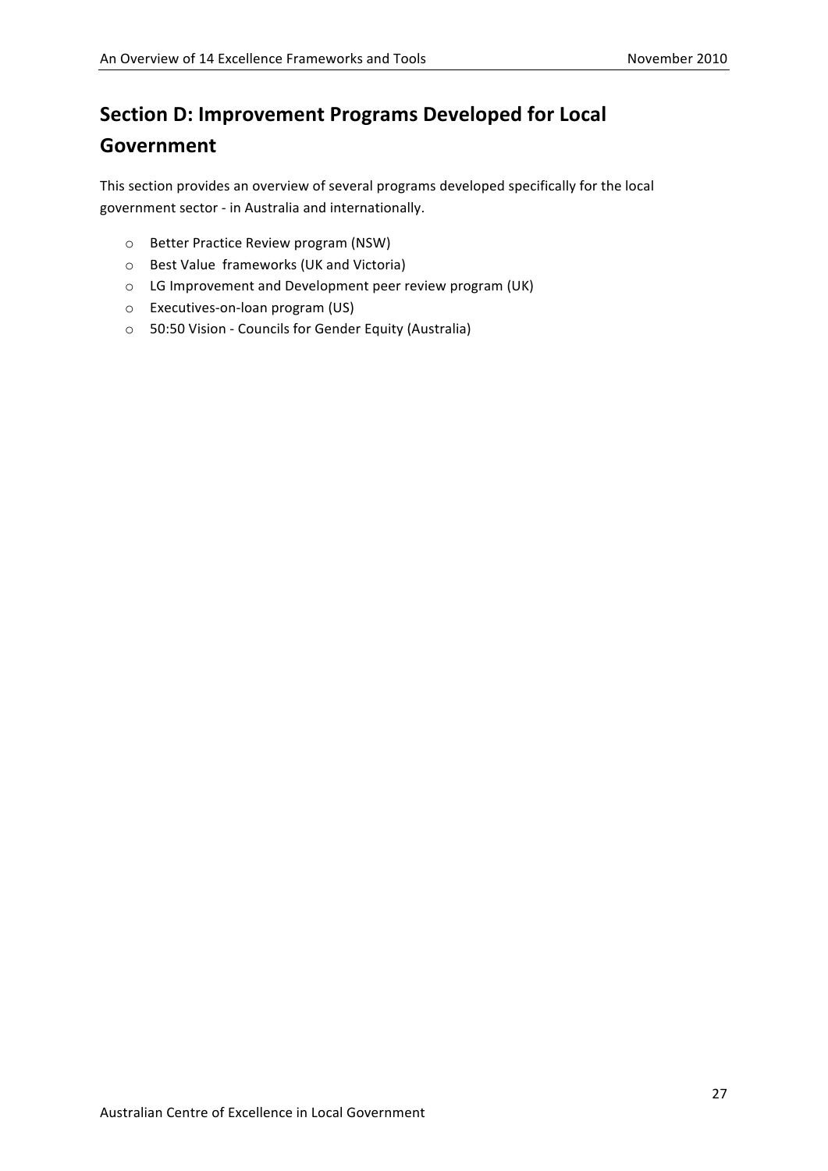# **Section
D:
Improvement
Programs
Developed
for
Local Government**

This
section
provides
an
overview
of
several
programs
developed
specifically
for
the
local government
sector
‐ in
Australia
and
internationally.

- o Better
Practice
Review
program
(NSW)
- o Best
Value

frameworks
(UK
and
Victoria)
- o LG
Improvement
and
Development
peer
review
program
(UK)
- o Executives‐on‐loan
program
(US)
- o 50:50
Vision
‐ Councils
for
Gender
Equity
(Australia)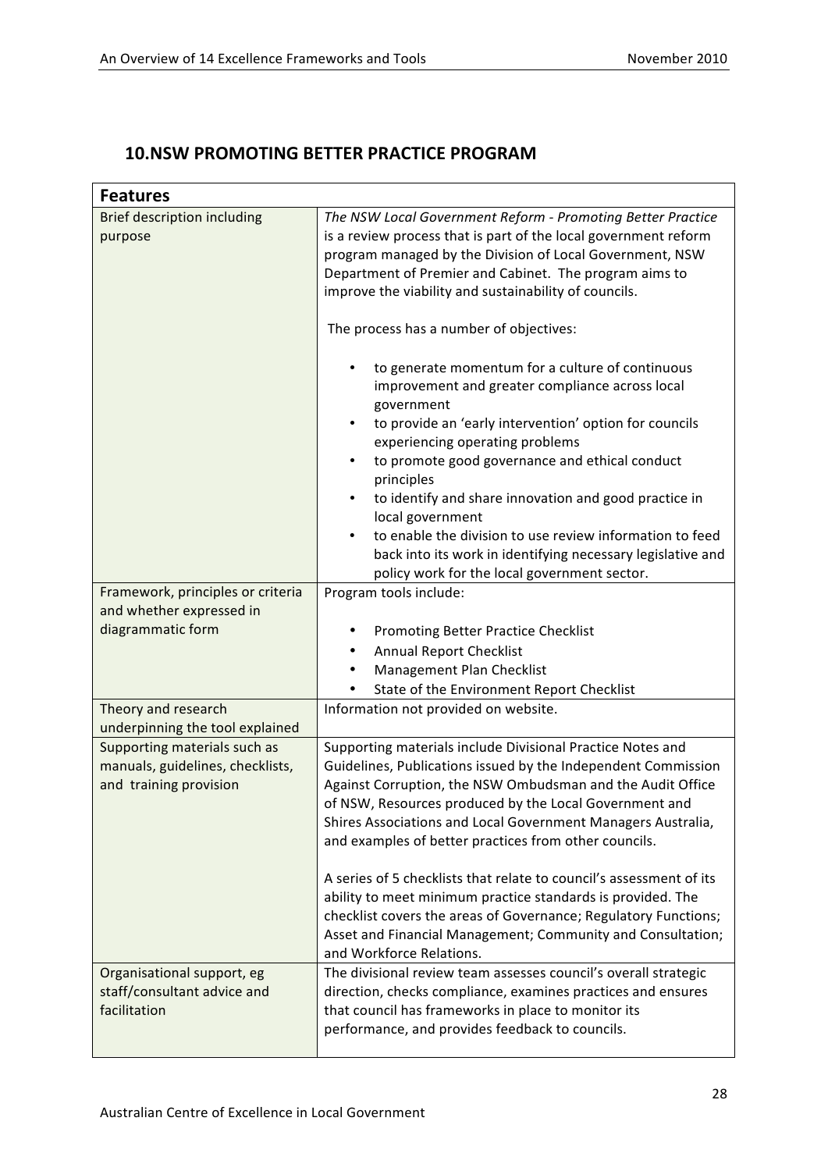### **10.NSW
PROMOTING
BETTER
PRACTICE
PROGRAM**

| <b>Features</b>                                                                                                                     |                                                                                                                                                                                                                                                                                                                                                                                                                                                                                                                                                                                                                                                                                                                                                                                                                                                                                                                                                                                                            |
|-------------------------------------------------------------------------------------------------------------------------------------|------------------------------------------------------------------------------------------------------------------------------------------------------------------------------------------------------------------------------------------------------------------------------------------------------------------------------------------------------------------------------------------------------------------------------------------------------------------------------------------------------------------------------------------------------------------------------------------------------------------------------------------------------------------------------------------------------------------------------------------------------------------------------------------------------------------------------------------------------------------------------------------------------------------------------------------------------------------------------------------------------------|
| <b>Brief description including</b><br>purpose<br>Framework, principles or criteria<br>and whether expressed in<br>diagrammatic form | The NSW Local Government Reform - Promoting Better Practice<br>is a review process that is part of the local government reform<br>program managed by the Division of Local Government, NSW<br>Department of Premier and Cabinet. The program aims to<br>improve the viability and sustainability of councils.<br>The process has a number of objectives:<br>to generate momentum for a culture of continuous<br>$\bullet$<br>improvement and greater compliance across local<br>government<br>to provide an 'early intervention' option for councils<br>$\bullet$<br>experiencing operating problems<br>to promote good governance and ethical conduct<br>principles<br>to identify and share innovation and good practice in<br>$\bullet$<br>local government<br>to enable the division to use review information to feed<br>back into its work in identifying necessary legislative and<br>policy work for the local government sector.<br>Program tools include:<br>Promoting Better Practice Checklist |
|                                                                                                                                     | <b>Annual Report Checklist</b><br>Management Plan Checklist                                                                                                                                                                                                                                                                                                                                                                                                                                                                                                                                                                                                                                                                                                                                                                                                                                                                                                                                                |
|                                                                                                                                     | State of the Environment Report Checklist                                                                                                                                                                                                                                                                                                                                                                                                                                                                                                                                                                                                                                                                                                                                                                                                                                                                                                                                                                  |
| Theory and research<br>underpinning the tool explained                                                                              | Information not provided on website.                                                                                                                                                                                                                                                                                                                                                                                                                                                                                                                                                                                                                                                                                                                                                                                                                                                                                                                                                                       |
| Supporting materials such as<br>manuals, guidelines, checklists,<br>and training provision                                          | Supporting materials include Divisional Practice Notes and<br>Guidelines, Publications issued by the Independent Commission<br>Against Corruption, the NSW Ombudsman and the Audit Office<br>of NSW, Resources produced by the Local Government and<br>Shires Associations and Local Government Managers Australia,<br>and examples of better practices from other councils.                                                                                                                                                                                                                                                                                                                                                                                                                                                                                                                                                                                                                               |
|                                                                                                                                     | A series of 5 checklists that relate to council's assessment of its<br>ability to meet minimum practice standards is provided. The<br>checklist covers the areas of Governance; Regulatory Functions;<br>Asset and Financial Management; Community and Consultation;<br>and Workforce Relations.                                                                                                                                                                                                                                                                                                                                                                                                                                                                                                                                                                                                                                                                                                           |
| Organisational support, eg<br>staff/consultant advice and<br>facilitation                                                           | The divisional review team assesses council's overall strategic<br>direction, checks compliance, examines practices and ensures<br>that council has frameworks in place to monitor its<br>performance, and provides feedback to councils.                                                                                                                                                                                                                                                                                                                                                                                                                                                                                                                                                                                                                                                                                                                                                                  |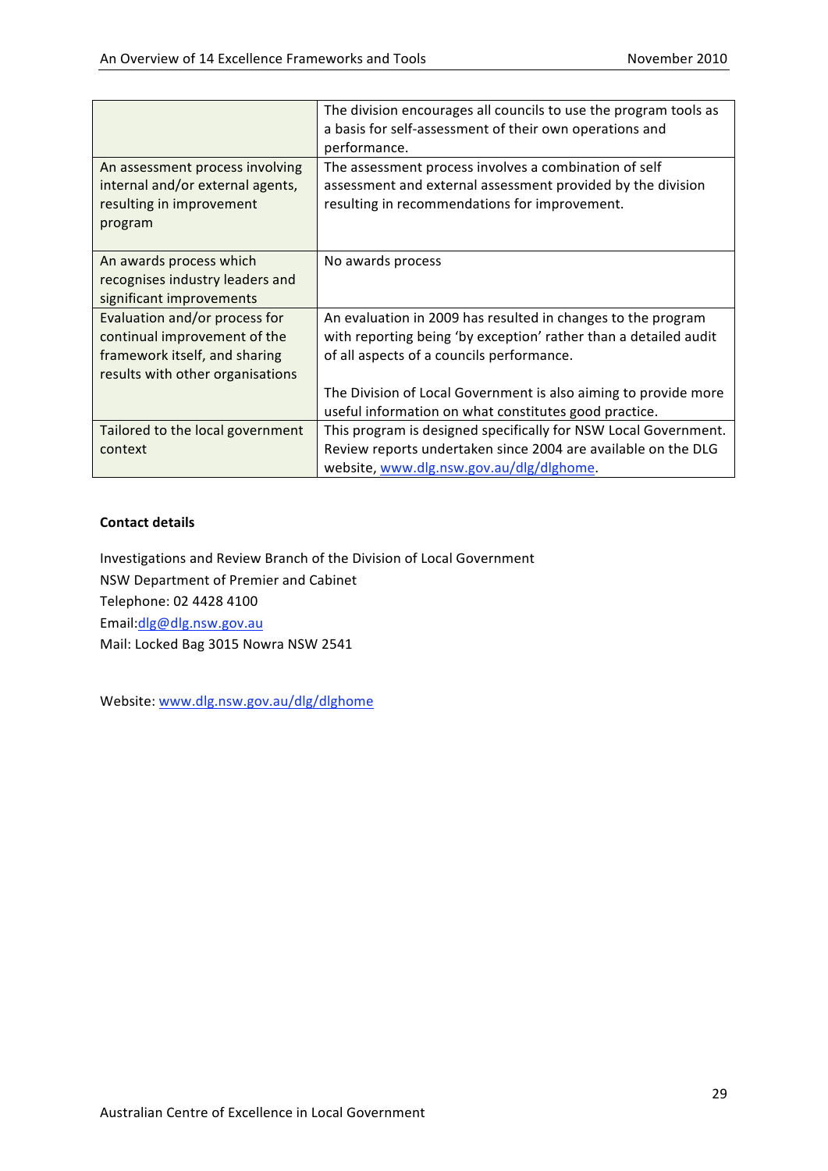|                                  | The division encourages all councils to use the program tools as |
|----------------------------------|------------------------------------------------------------------|
|                                  | a basis for self-assessment of their own operations and          |
|                                  | performance.                                                     |
| An assessment process involving  | The assessment process involves a combination of self            |
| internal and/or external agents, | assessment and external assessment provided by the division      |
| resulting in improvement         | resulting in recommendations for improvement.                    |
| program                          |                                                                  |
|                                  |                                                                  |
| An awards process which          | No awards process                                                |
| recognises industry leaders and  |                                                                  |
| significant improvements         |                                                                  |
| Evaluation and/or process for    | An evaluation in 2009 has resulted in changes to the program     |
| continual improvement of the     | with reporting being 'by exception' rather than a detailed audit |
| framework itself, and sharing    | of all aspects of a councils performance.                        |
| results with other organisations |                                                                  |
|                                  | The Division of Local Government is also aiming to provide more  |
|                                  | useful information on what constitutes good practice.            |
| Tailored to the local government | This program is designed specifically for NSW Local Government.  |
| context                          | Review reports undertaken since 2004 are available on the DLG    |
|                                  | website, www.dlg.nsw.gov.au/dlg/dlghome.                         |

Investigations
and
Review
Branch
of
the
Division
of
Local
Government NSW
Department
of
Premier
and
Cabinet Telephone:
02
4428
4100 Email:dlg@dlg.nsw.gov.au Mail:
Locked
Bag
3015
Nowra
NSW
2541

Website: www.dlg.nsw.gov.au/dlg/dlghome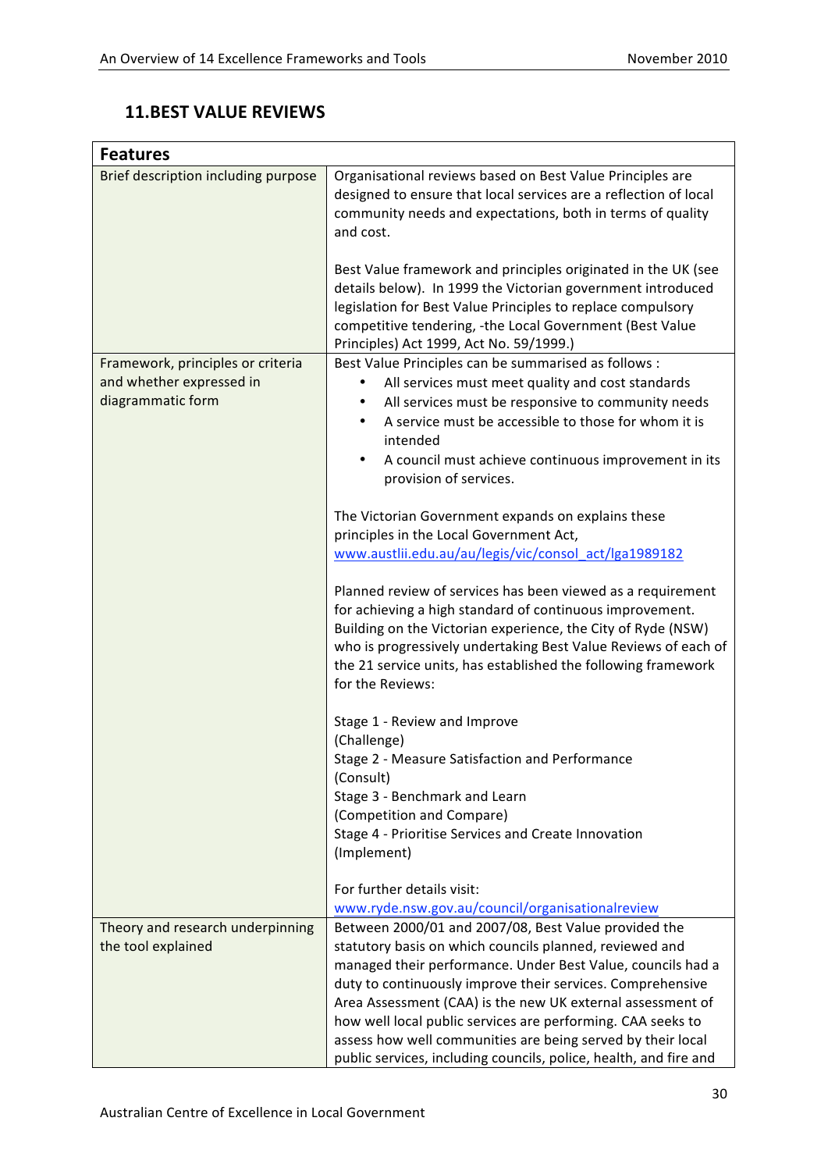### **11.BEST
VALUE
REVIEWS**

| <b>Features</b>                                                                    |                                                                                                                                                                                                                                                                                                                                                                                                                                                                                                                                                                   |
|------------------------------------------------------------------------------------|-------------------------------------------------------------------------------------------------------------------------------------------------------------------------------------------------------------------------------------------------------------------------------------------------------------------------------------------------------------------------------------------------------------------------------------------------------------------------------------------------------------------------------------------------------------------|
| Brief description including purpose                                                | Organisational reviews based on Best Value Principles are<br>designed to ensure that local services are a reflection of local<br>community needs and expectations, both in terms of quality<br>and cost.<br>Best Value framework and principles originated in the UK (see<br>details below). In 1999 the Victorian government introduced<br>legislation for Best Value Principles to replace compulsory<br>competitive tendering, -the Local Government (Best Value                                                                                               |
|                                                                                    | Principles) Act 1999, Act No. 59/1999.)                                                                                                                                                                                                                                                                                                                                                                                                                                                                                                                           |
| Framework, principles or criteria<br>and whether expressed in<br>diagrammatic form | Best Value Principles can be summarised as follows :<br>All services must meet quality and cost standards<br>All services must be responsive to community needs<br>٠<br>A service must be accessible to those for whom it is<br>intended<br>A council must achieve continuous improvement in its<br>٠<br>provision of services.                                                                                                                                                                                                                                   |
|                                                                                    | The Victorian Government expands on explains these<br>principles in the Local Government Act,<br>www.austlii.edu.au/au/legis/vic/consol_act/lga1989182                                                                                                                                                                                                                                                                                                                                                                                                            |
|                                                                                    | Planned review of services has been viewed as a requirement<br>for achieving a high standard of continuous improvement.<br>Building on the Victorian experience, the City of Ryde (NSW)<br>who is progressively undertaking Best Value Reviews of each of<br>the 21 service units, has established the following framework<br>for the Reviews:                                                                                                                                                                                                                    |
|                                                                                    | Stage 1 - Review and Improve<br>(Challenge)<br>Stage 2 - Measure Satisfaction and Performance<br>(Consult)<br>Stage 3 - Benchmark and Learn                                                                                                                                                                                                                                                                                                                                                                                                                       |
|                                                                                    | (Competition and Compare)<br>Stage 4 - Prioritise Services and Create Innovation<br>(Implement)                                                                                                                                                                                                                                                                                                                                                                                                                                                                   |
|                                                                                    | For further details visit:                                                                                                                                                                                                                                                                                                                                                                                                                                                                                                                                        |
| Theory and research underpinning<br>the tool explained                             | www.ryde.nsw.gov.au/council/organisationalreview<br>Between 2000/01 and 2007/08, Best Value provided the<br>statutory basis on which councils planned, reviewed and<br>managed their performance. Under Best Value, councils had a<br>duty to continuously improve their services. Comprehensive<br>Area Assessment (CAA) is the new UK external assessment of<br>how well local public services are performing. CAA seeks to<br>assess how well communities are being served by their local<br>public services, including councils, police, health, and fire and |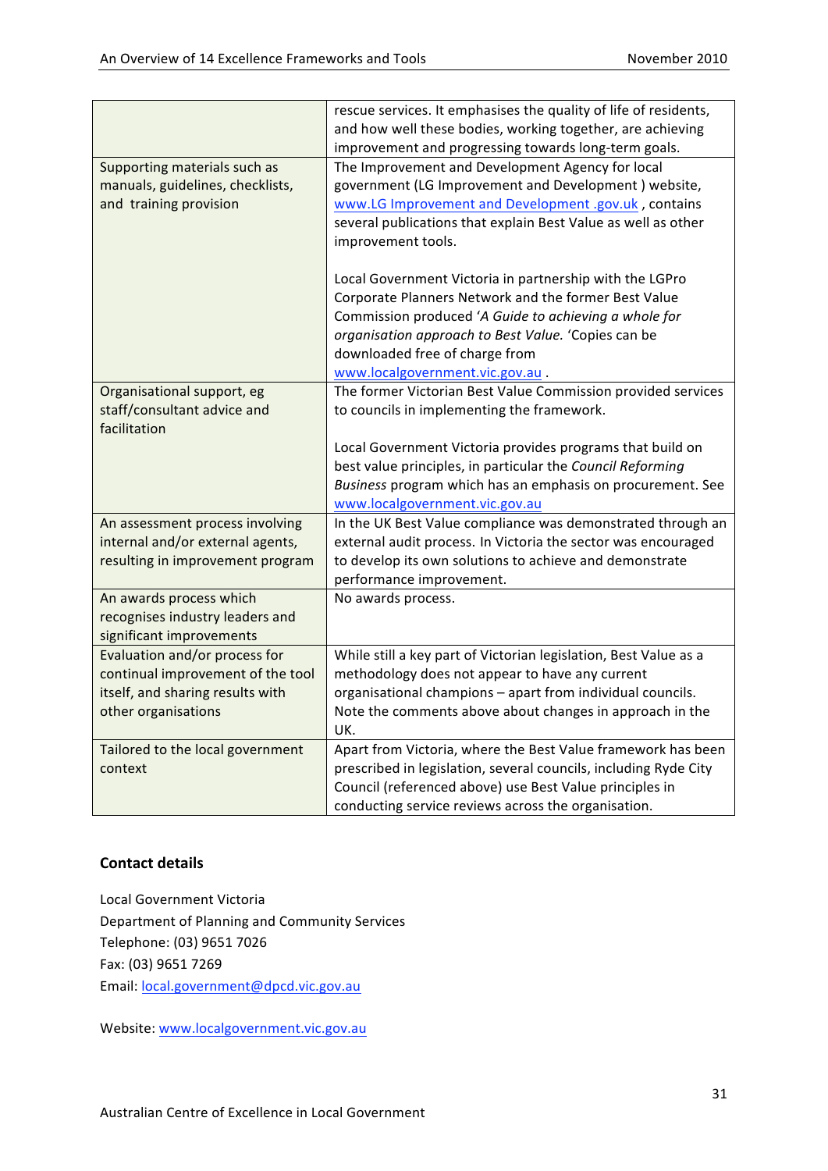|                                   | rescue services. It emphasises the quality of life of residents, |
|-----------------------------------|------------------------------------------------------------------|
|                                   | and how well these bodies, working together, are achieving       |
|                                   | improvement and progressing towards long-term goals.             |
| Supporting materials such as      | The Improvement and Development Agency for local                 |
| manuals, guidelines, checklists,  | government (LG Improvement and Development) website,             |
| and training provision            | www.LG Improvement and Development .gov.uk, contains             |
|                                   | several publications that explain Best Value as well as other    |
|                                   | improvement tools.                                               |
|                                   |                                                                  |
|                                   | Local Government Victoria in partnership with the LGPro          |
|                                   | Corporate Planners Network and the former Best Value             |
|                                   | Commission produced 'A Guide to achieving a whole for            |
|                                   | organisation approach to Best Value. 'Copies can be              |
|                                   | downloaded free of charge from                                   |
|                                   | www.localgovernment.vic.gov.au.                                  |
| Organisational support, eg        | The former Victorian Best Value Commission provided services     |
| staff/consultant advice and       | to councils in implementing the framework.                       |
| facilitation                      |                                                                  |
|                                   | Local Government Victoria provides programs that build on        |
|                                   | best value principles, in particular the Council Reforming       |
|                                   | Business program which has an emphasis on procurement. See       |
|                                   | www.localgovernment.vic.gov.au                                   |
| An assessment process involving   | In the UK Best Value compliance was demonstrated through an      |
| internal and/or external agents,  | external audit process. In Victoria the sector was encouraged    |
| resulting in improvement program  | to develop its own solutions to achieve and demonstrate          |
|                                   | performance improvement.                                         |
| An awards process which           | No awards process.                                               |
| recognises industry leaders and   |                                                                  |
| significant improvements          |                                                                  |
| Evaluation and/or process for     | While still a key part of Victorian legislation, Best Value as a |
| continual improvement of the tool | methodology does not appear to have any current                  |
| itself, and sharing results with  | organisational champions - apart from individual councils.       |
| other organisations               | Note the comments above about changes in approach in the         |
|                                   | UK.                                                              |
| Tailored to the local government  | Apart from Victoria, where the Best Value framework has been     |
| context                           | prescribed in legislation, several councils, including Ryde City |
|                                   | Council (referenced above) use Best Value principles in          |
|                                   | conducting service reviews across the organisation.              |

Local
Government
Victoria Department
of
Planning
and
Community
Services Telephone:
(03)
9651
7026 Fax:
(03)
9651
7269 Email:
local.government@dpcd.vic.gov.au

Website: www.localgovernment.vic.gov.au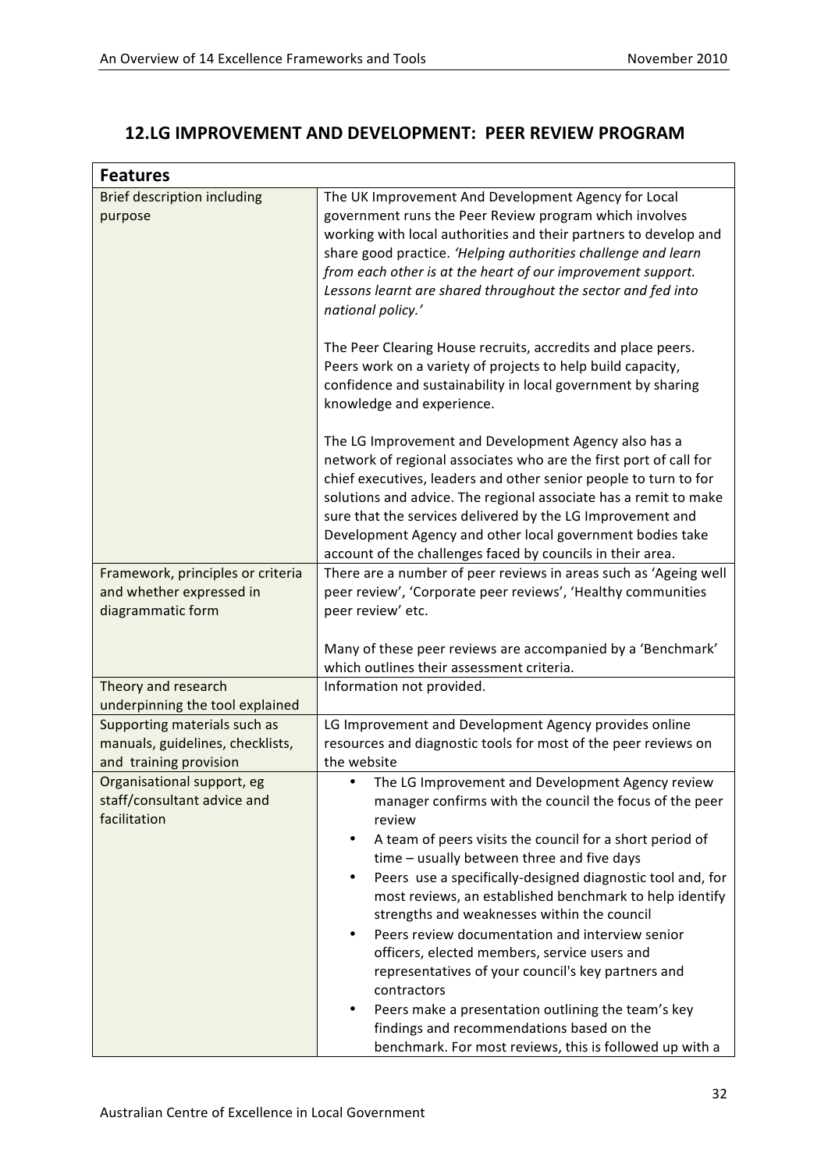### **12.LG
IMPROVEMENT
AND
DEVELOPMENT: PEER
REVIEW
PROGRAM**

| <b>Features</b>                                               |                                                                                                                                      |
|---------------------------------------------------------------|--------------------------------------------------------------------------------------------------------------------------------------|
| Brief description including<br>purpose                        | The UK Improvement And Development Agency for Local<br>government runs the Peer Review program which involves                        |
|                                                               | working with local authorities and their partners to develop and                                                                     |
|                                                               | share good practice. 'Helping authorities challenge and learn                                                                        |
|                                                               | from each other is at the heart of our improvement support.<br>Lessons learnt are shared throughout the sector and fed into          |
|                                                               | national policy.'                                                                                                                    |
|                                                               | The Peer Clearing House recruits, accredits and place peers.                                                                         |
|                                                               | Peers work on a variety of projects to help build capacity,                                                                          |
|                                                               | confidence and sustainability in local government by sharing<br>knowledge and experience.                                            |
|                                                               |                                                                                                                                      |
|                                                               | The LG Improvement and Development Agency also has a                                                                                 |
|                                                               | network of regional associates who are the first port of call for                                                                    |
|                                                               | chief executives, leaders and other senior people to turn to for<br>solutions and advice. The regional associate has a remit to make |
|                                                               | sure that the services delivered by the LG Improvement and                                                                           |
|                                                               | Development Agency and other local government bodies take                                                                            |
|                                                               | account of the challenges faced by councils in their area.                                                                           |
| Framework, principles or criteria<br>and whether expressed in | There are a number of peer reviews in areas such as 'Ageing well<br>peer review', 'Corporate peer reviews', 'Healthy communities     |
| diagrammatic form                                             | peer review' etc.                                                                                                                    |
|                                                               |                                                                                                                                      |
|                                                               | Many of these peer reviews are accompanied by a 'Benchmark'<br>which outlines their assessment criteria.                             |
| Theory and research                                           | Information not provided.                                                                                                            |
| underpinning the tool explained                               |                                                                                                                                      |
| Supporting materials such as                                  | LG Improvement and Development Agency provides online                                                                                |
| manuals, guidelines, checklists,<br>and training provision    | resources and diagnostic tools for most of the peer reviews on<br>the website                                                        |
| Organisational support, eg                                    | The LG Improvement and Development Agency review                                                                                     |
| staff/consultant advice and                                   | manager confirms with the council the focus of the peer                                                                              |
| facilitation                                                  | review                                                                                                                               |
|                                                               | A team of peers visits the council for a short period of<br>٠<br>time - usually between three and five days                          |
|                                                               | Peers use a specifically-designed diagnostic tool and, for                                                                           |
|                                                               | most reviews, an established benchmark to help identify                                                                              |
|                                                               | strengths and weaknesses within the council                                                                                          |
|                                                               | Peers review documentation and interview senior                                                                                      |
|                                                               | officers, elected members, service users and<br>representatives of your council's key partners and                                   |
|                                                               | contractors                                                                                                                          |
|                                                               | Peers make a presentation outlining the team's key                                                                                   |
|                                                               | findings and recommendations based on the                                                                                            |
|                                                               | benchmark. For most reviews, this is followed up with a                                                                              |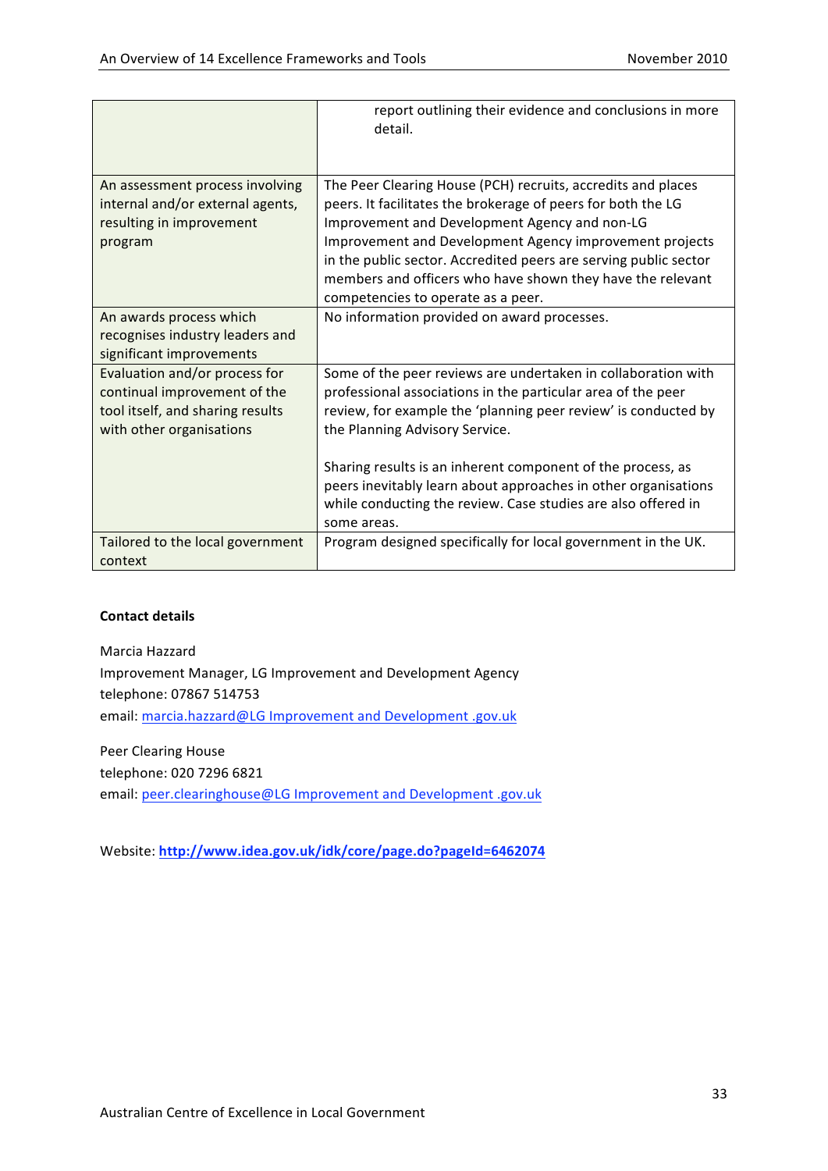|                                                                                                                               | report outlining their evidence and conclusions in more<br>detail.                                                                                                                                                                                                                                                                                                                                                                  |
|-------------------------------------------------------------------------------------------------------------------------------|-------------------------------------------------------------------------------------------------------------------------------------------------------------------------------------------------------------------------------------------------------------------------------------------------------------------------------------------------------------------------------------------------------------------------------------|
| An assessment process involving<br>internal and/or external agents,<br>resulting in improvement<br>program                    | The Peer Clearing House (PCH) recruits, accredits and places<br>peers. It facilitates the brokerage of peers for both the LG<br>Improvement and Development Agency and non-LG<br>Improvement and Development Agency improvement projects<br>in the public sector. Accredited peers are serving public sector<br>members and officers who have shown they have the relevant<br>competencies to operate as a peer.                    |
| An awards process which<br>recognises industry leaders and<br>significant improvements                                        | No information provided on award processes.                                                                                                                                                                                                                                                                                                                                                                                         |
| Evaluation and/or process for<br>continual improvement of the<br>tool itself, and sharing results<br>with other organisations | Some of the peer reviews are undertaken in collaboration with<br>professional associations in the particular area of the peer<br>review, for example the 'planning peer review' is conducted by<br>the Planning Advisory Service.<br>Sharing results is an inherent component of the process, as<br>peers inevitably learn about approaches in other organisations<br>while conducting the review. Case studies are also offered in |
|                                                                                                                               | some areas.                                                                                                                                                                                                                                                                                                                                                                                                                         |
| Tailored to the local government<br>context                                                                                   | Program designed specifically for local government in the UK.                                                                                                                                                                                                                                                                                                                                                                       |

Marcia
Hazzard Improvement
Manager,
LG
Improvement
and
Development
Agency telephone:
07867
514753 email: marcia.hazzard@LG Improvement and Development .gov.uk

Peer
Clearing
House telephone:
020
7296
6821 email: peer.clearinghouse@LG Improvement and Development .gov.uk

Website: **http://www.idea.gov.uk/idk/core/page.do?pageId=6462074**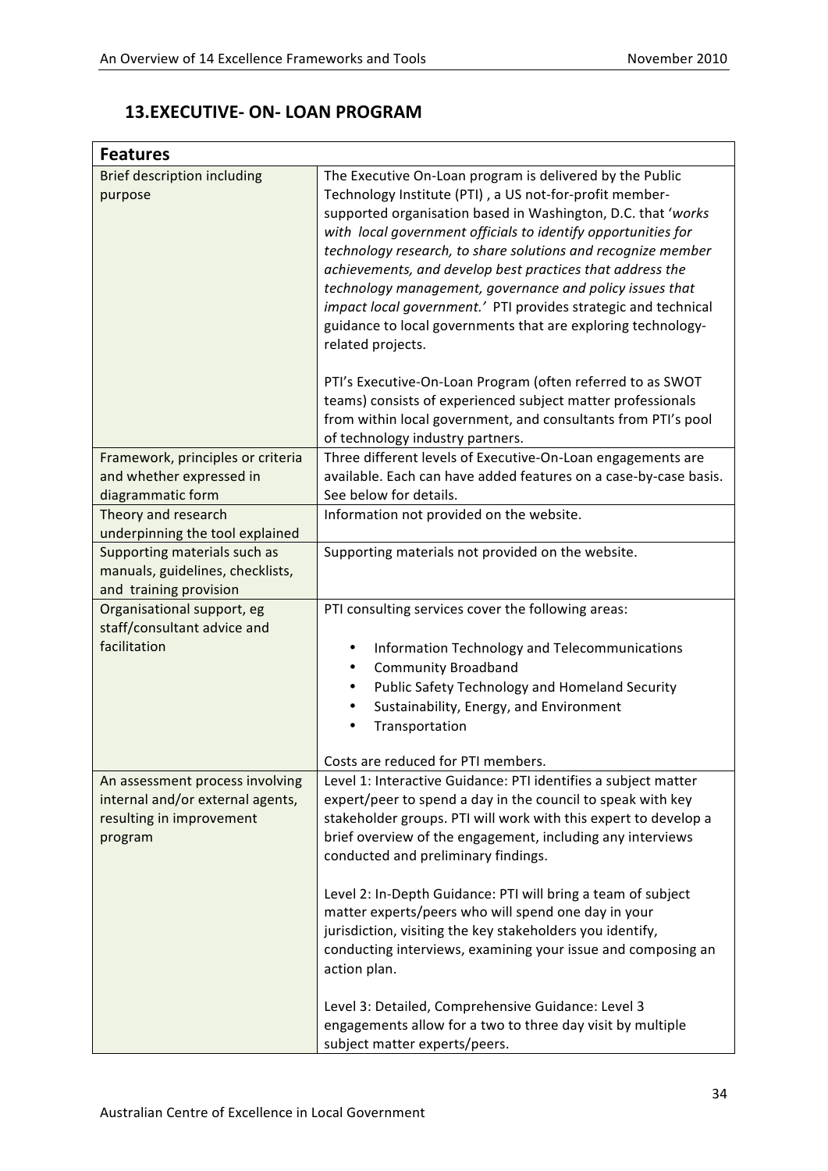### **13.EXECUTIVE‐ ON‐ LOAN
PROGRAM**

| <b>Features</b>                                                  |                                                                                                                                |
|------------------------------------------------------------------|--------------------------------------------------------------------------------------------------------------------------------|
| <b>Brief description including</b><br>purpose                    | The Executive On-Loan program is delivered by the Public<br>Technology Institute (PTI), a US not-for-profit member-            |
|                                                                  | supported organisation based in Washington, D.C. that 'works                                                                   |
|                                                                  | with local government officials to identify opportunities for                                                                  |
|                                                                  | technology research, to share solutions and recognize member                                                                   |
|                                                                  | achievements, and develop best practices that address the<br>technology management, governance and policy issues that          |
|                                                                  | impact local government.' PTI provides strategic and technical                                                                 |
|                                                                  | guidance to local governments that are exploring technology-                                                                   |
|                                                                  | related projects.                                                                                                              |
|                                                                  | PTI's Executive-On-Loan Program (often referred to as SWOT                                                                     |
|                                                                  | teams) consists of experienced subject matter professionals                                                                    |
|                                                                  | from within local government, and consultants from PTI's pool                                                                  |
| Framework, principles or criteria                                | of technology industry partners.<br>Three different levels of Executive-On-Loan engagements are                                |
| and whether expressed in                                         | available. Each can have added features on a case-by-case basis.                                                               |
| diagrammatic form                                                | See below for details.                                                                                                         |
| Theory and research                                              | Information not provided on the website.                                                                                       |
| underpinning the tool explained                                  |                                                                                                                                |
| Supporting materials such as<br>manuals, guidelines, checklists, | Supporting materials not provided on the website.                                                                              |
| and training provision                                           |                                                                                                                                |
| Organisational support, eg                                       | PTI consulting services cover the following areas:                                                                             |
| staff/consultant advice and                                      |                                                                                                                                |
| facilitation                                                     | Information Technology and Telecommunications<br>٠                                                                             |
|                                                                  | <b>Community Broadband</b><br>٠                                                                                                |
|                                                                  | Public Safety Technology and Homeland Security<br>Sustainability, Energy, and Environment                                      |
|                                                                  | Transportation<br>$\bullet$                                                                                                    |
|                                                                  |                                                                                                                                |
|                                                                  | Costs are reduced for PTI members.                                                                                             |
| An assessment process involving                                  | Level 1: Interactive Guidance: PTI identifies a subject matter                                                                 |
| internal and/or external agents,<br>resulting in improvement     | expert/peer to spend a day in the council to speak with key<br>stakeholder groups. PTI will work with this expert to develop a |
| program                                                          | brief overview of the engagement, including any interviews                                                                     |
|                                                                  | conducted and preliminary findings.                                                                                            |
|                                                                  | Level 2: In-Depth Guidance: PTI will bring a team of subject                                                                   |
|                                                                  | matter experts/peers who will spend one day in your                                                                            |
|                                                                  | jurisdiction, visiting the key stakeholders you identify,                                                                      |
|                                                                  | conducting interviews, examining your issue and composing an<br>action plan.                                                   |
|                                                                  | Level 3: Detailed, Comprehensive Guidance: Level 3                                                                             |
|                                                                  | engagements allow for a two to three day visit by multiple                                                                     |
|                                                                  | subject matter experts/peers.                                                                                                  |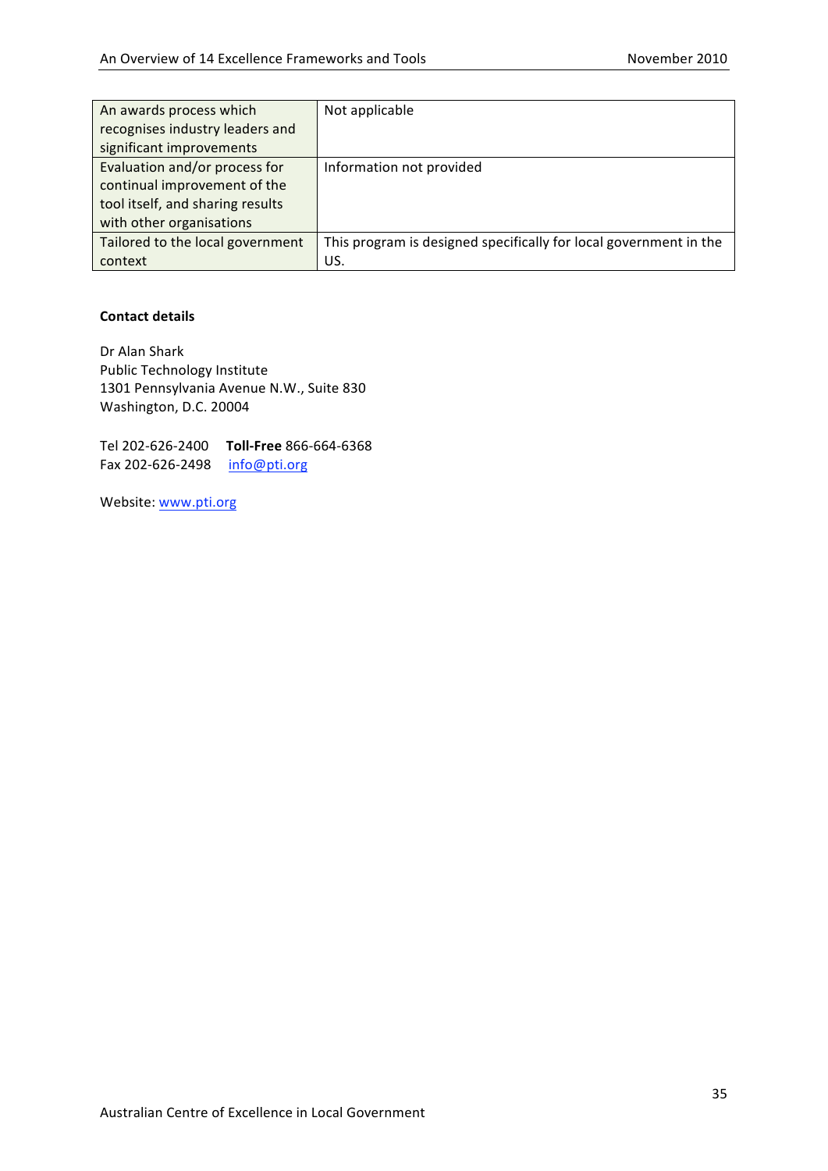| An awards process which          | Not applicable                                                    |
|----------------------------------|-------------------------------------------------------------------|
| recognises industry leaders and  |                                                                   |
| significant improvements         |                                                                   |
| Evaluation and/or process for    | Information not provided                                          |
| continual improvement of the     |                                                                   |
| tool itself, and sharing results |                                                                   |
| with other organisations         |                                                                   |
| Tailored to the local government | This program is designed specifically for local government in the |
| context                          | US.                                                               |

Dr
Alan
Shark Public
Technology
Institute 1301
Pennsylvania
Avenue
N.W.,
Suite
830 Washington,
D.C.
20004

Tel
202‐626‐2400 **Toll‐Free** 866‐664‐6368 Fax 202-626-2498 info@pti.org

Website: www.pti.org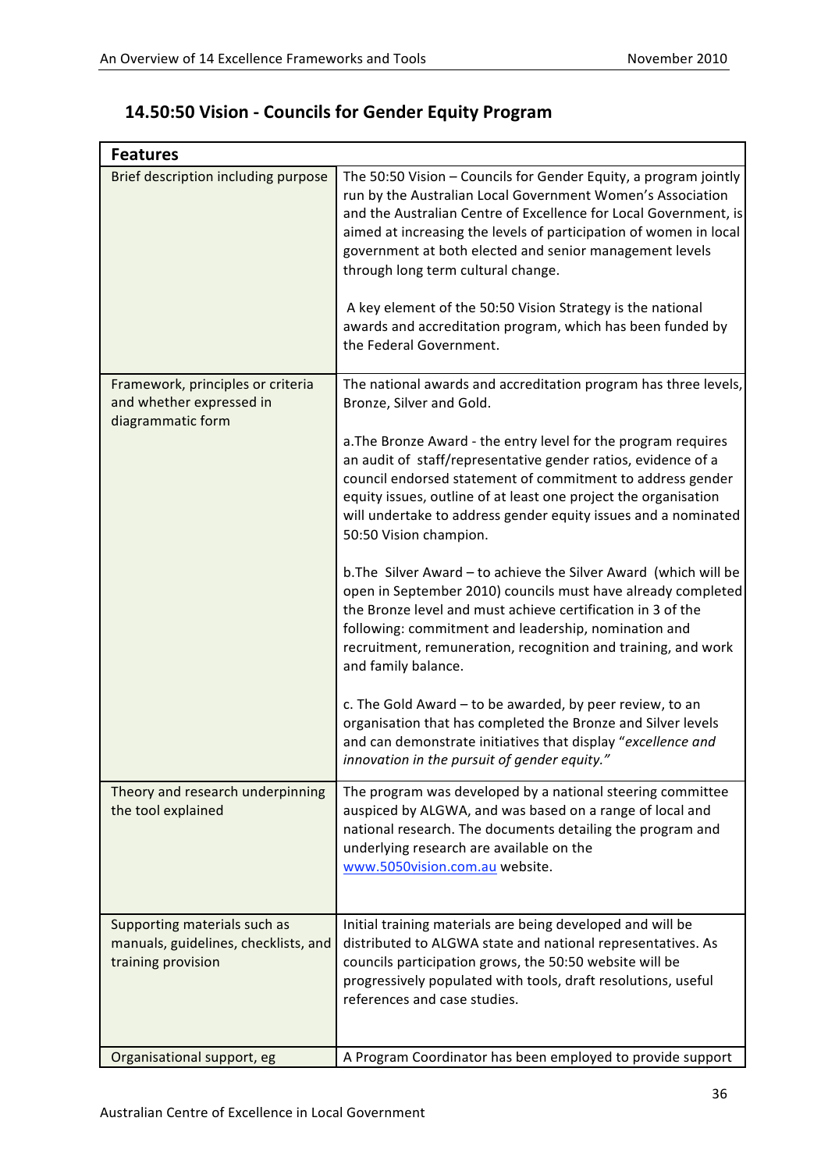| <b>Features</b>                                                                            |                                                                                                                                                                                                                                                                                                                                                                                                                                                                                                                                 |  |
|--------------------------------------------------------------------------------------------|---------------------------------------------------------------------------------------------------------------------------------------------------------------------------------------------------------------------------------------------------------------------------------------------------------------------------------------------------------------------------------------------------------------------------------------------------------------------------------------------------------------------------------|--|
| Brief description including purpose                                                        | The 50:50 Vision - Councils for Gender Equity, a program jointly<br>run by the Australian Local Government Women's Association<br>and the Australian Centre of Excellence for Local Government, is<br>aimed at increasing the levels of participation of women in local<br>government at both elected and senior management levels<br>through long term cultural change.<br>A key element of the 50:50 Vision Strategy is the national<br>awards and accreditation program, which has been funded by<br>the Federal Government. |  |
| Framework, principles or criteria<br>and whether expressed in<br>diagrammatic form         | The national awards and accreditation program has three levels,<br>Bronze, Silver and Gold.                                                                                                                                                                                                                                                                                                                                                                                                                                     |  |
|                                                                                            | a. The Bronze Award - the entry level for the program requires<br>an audit of staff/representative gender ratios, evidence of a<br>council endorsed statement of commitment to address gender<br>equity issues, outline of at least one project the organisation<br>will undertake to address gender equity issues and a nominated<br>50:50 Vision champion.                                                                                                                                                                    |  |
|                                                                                            | b. The Silver Award - to achieve the Silver Award (which will be<br>open in September 2010) councils must have already completed<br>the Bronze level and must achieve certification in 3 of the<br>following: commitment and leadership, nomination and<br>recruitment, remuneration, recognition and training, and work<br>and family balance.                                                                                                                                                                                 |  |
|                                                                                            | c. The Gold Award - to be awarded, by peer review, to an<br>organisation that has completed the Bronze and Silver levels<br>and can demonstrate initiatives that display "excellence and<br>innovation in the pursuit of gender equity."                                                                                                                                                                                                                                                                                        |  |
| Theory and research underpinning<br>the tool explained                                     | The program was developed by a national steering committee<br>auspiced by ALGWA, and was based on a range of local and<br>national research. The documents detailing the program and<br>underlying research are available on the<br>www.5050vision.com.au website.                                                                                                                                                                                                                                                              |  |
| Supporting materials such as<br>manuals, guidelines, checklists, and<br>training provision | Initial training materials are being developed and will be<br>distributed to ALGWA state and national representatives. As<br>councils participation grows, the 50:50 website will be<br>progressively populated with tools, draft resolutions, useful<br>references and case studies.                                                                                                                                                                                                                                           |  |
| Organisational support, eg                                                                 | A Program Coordinator has been employed to provide support                                                                                                                                                                                                                                                                                                                                                                                                                                                                      |  |

# **14.50:50
Vision
‐ Councils
for
Gender
Equity Program**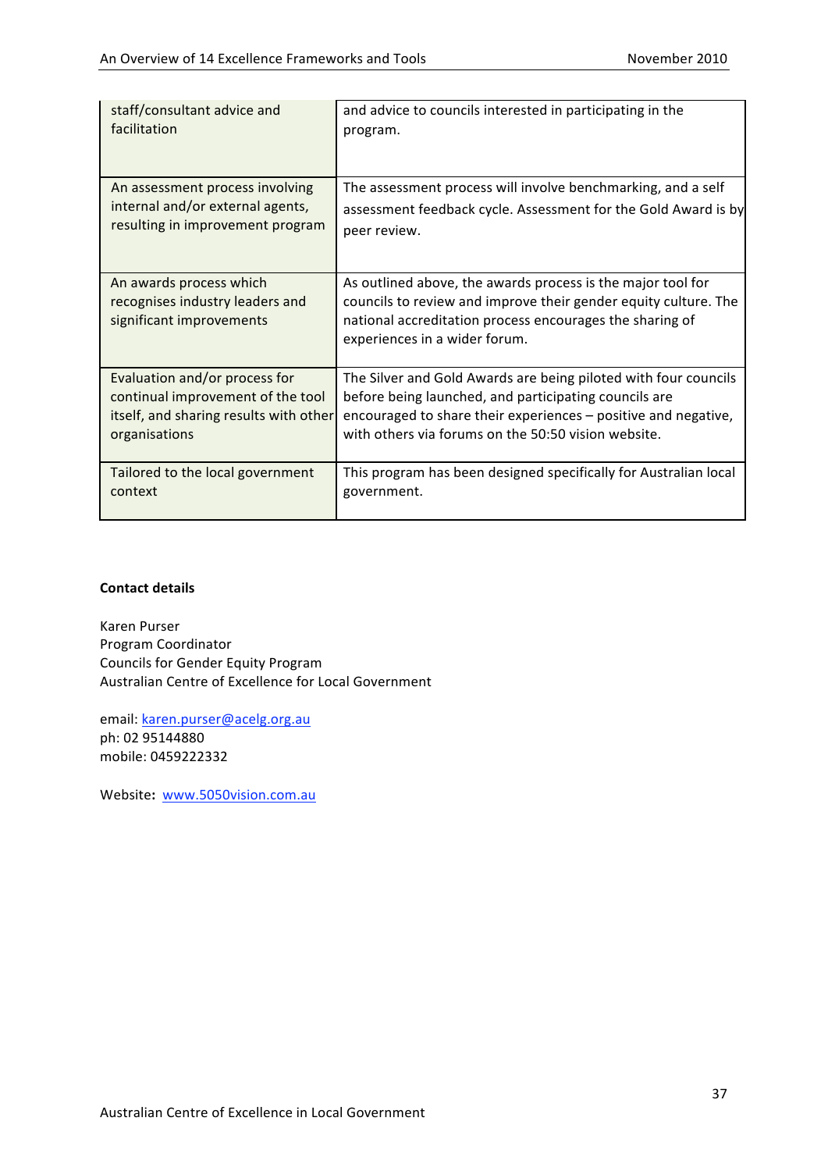| staff/consultant advice and                                                            | and advice to councils interested in participating in the                                                                                                                                                                   |
|----------------------------------------------------------------------------------------|-----------------------------------------------------------------------------------------------------------------------------------------------------------------------------------------------------------------------------|
| facilitation                                                                           | program.                                                                                                                                                                                                                    |
| An assessment process involving                                                        | The assessment process will involve benchmarking, and a self                                                                                                                                                                |
| internal and/or external agents,                                                       | assessment feedback cycle. Assessment for the Gold Award is by                                                                                                                                                              |
| resulting in improvement program                                                       | peer review.                                                                                                                                                                                                                |
| An awards process which<br>recognises industry leaders and<br>significant improvements | As outlined above, the awards process is the major tool for<br>councils to review and improve their gender equity culture. The<br>national accreditation process encourages the sharing of<br>experiences in a wider forum. |
| Evaluation and/or process for                                                          | The Silver and Gold Awards are being piloted with four councils                                                                                                                                                             |
| continual improvement of the tool                                                      | before being launched, and participating councils are                                                                                                                                                                       |
| itself, and sharing results with other                                                 | encouraged to share their experiences – positive and negative,                                                                                                                                                              |
| organisations                                                                          | with others via forums on the 50:50 vision website.                                                                                                                                                                         |
| Tailored to the local government                                                       | This program has been designed specifically for Australian local                                                                                                                                                            |
| context                                                                                | government.                                                                                                                                                                                                                 |

Karen
Purser Program
Coordinator Councils
for
Gender
Equity
Program Australian
Centre
of
Excellence
for
Local
Government

email:
karen.purser@acelg.org.au ph:
02
95144880 mobile:
0459222332

Website**:** www.5050vision.com.au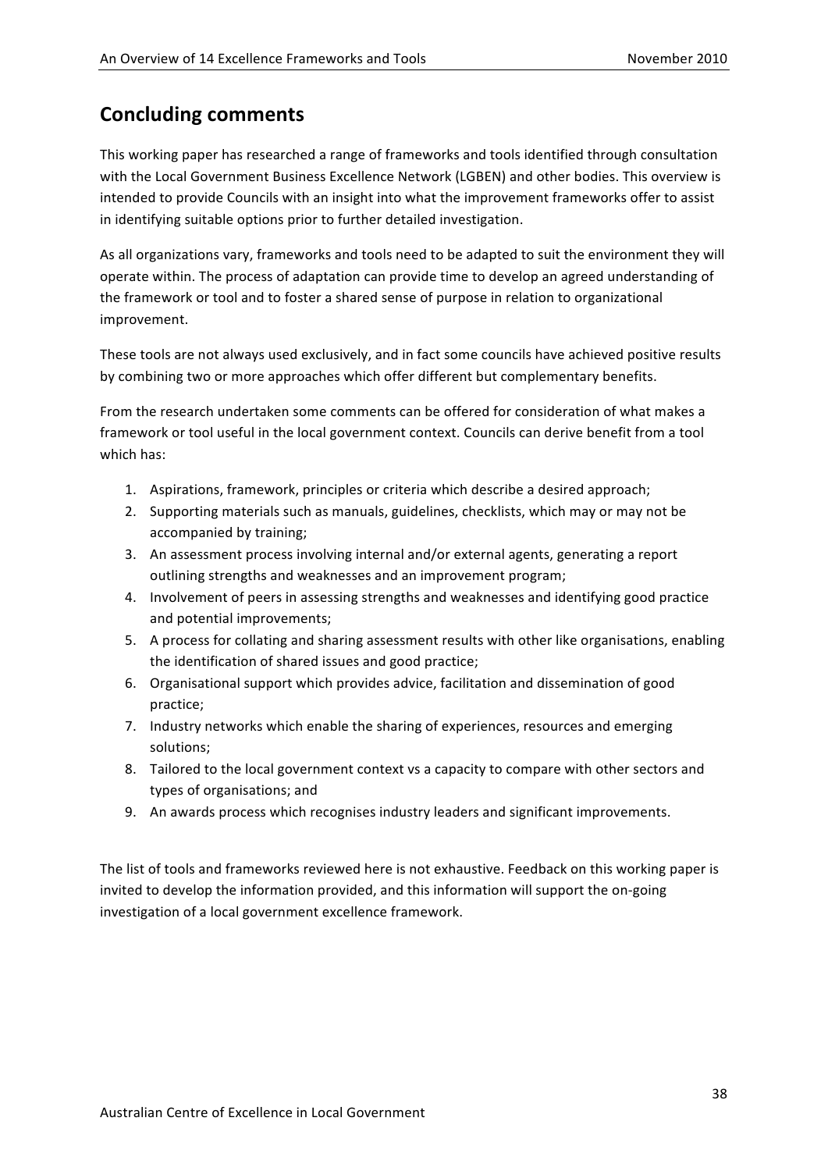# **Concluding
comments**

This
working
paper
has
researched
a
range
of
frameworks
and
tools
identified
through
consultation with the Local Government Business Excellence Network (LGBEN) and other bodies. This overview is intended to provide Councils with an insight into what the improvement frameworks offer to assist in
identifying
suitable
options
prior
to
further
detailed
investigation.

As all organizations vary, frameworks and tools need to be adapted to suit the environment they will operate
within.
The
process
of
adaptation
can
provide
time
to
develop
an
agreed
understanding
of the
framework
or
tool
and
to
foster
a
shared
sense
of
purpose
in
relation
to
organizational improvement.

These
tools
are
not
always
used
exclusively,
and
in
fact
some
councils
have
achieved
positive
results by
combining
two
or
more
approaches
which
offer
different
but
complementary
benefits.

From the research undertaken some comments can be offered for consideration of what makes a framework or tool useful in the local government context. Councils can derive benefit from a tool which has:

- 1. Aspirations,
framework,
principles
or
criteria
which
describe
a
desired
approach;
- 2. Supporting materials such as manuals, guidelines, checklists, which may or may not be accompanied
by
training;
- 3. An assessment process involving internal and/or external agents, generating a report outlining
strengths
and
weaknesses
and
an
improvement
program;
- 4. Involvement
of
peers
in
assessing
strengths
and
weaknesses
and
identifying
good
practice and
potential
improvements;
- 5. A
process
for
collating
and
sharing
assessment
results
with
other
like
organisations,
enabling the
identification
of
shared
issues
and
good
practice;
- 6. Organisational
support
which
provides
advice,
facilitation
and
dissemination
of
good practice;
- 7. Industry networks which enable the sharing of experiences, resources and emerging solutions;
- 8. Tailored to the local government context vs a capacity to compare with other sectors and types
of
organisations;
and
- 9. An
awards
process
which
recognises
industry
leaders
and
significant
improvements.

The
list
of
tools
and
frameworks
reviewed
here
is
not
exhaustive.
Feedback
on
this
working
paper
is invited to develop the information provided, and this information will support the on-going investigation
of
a
local
government
excellence
framework.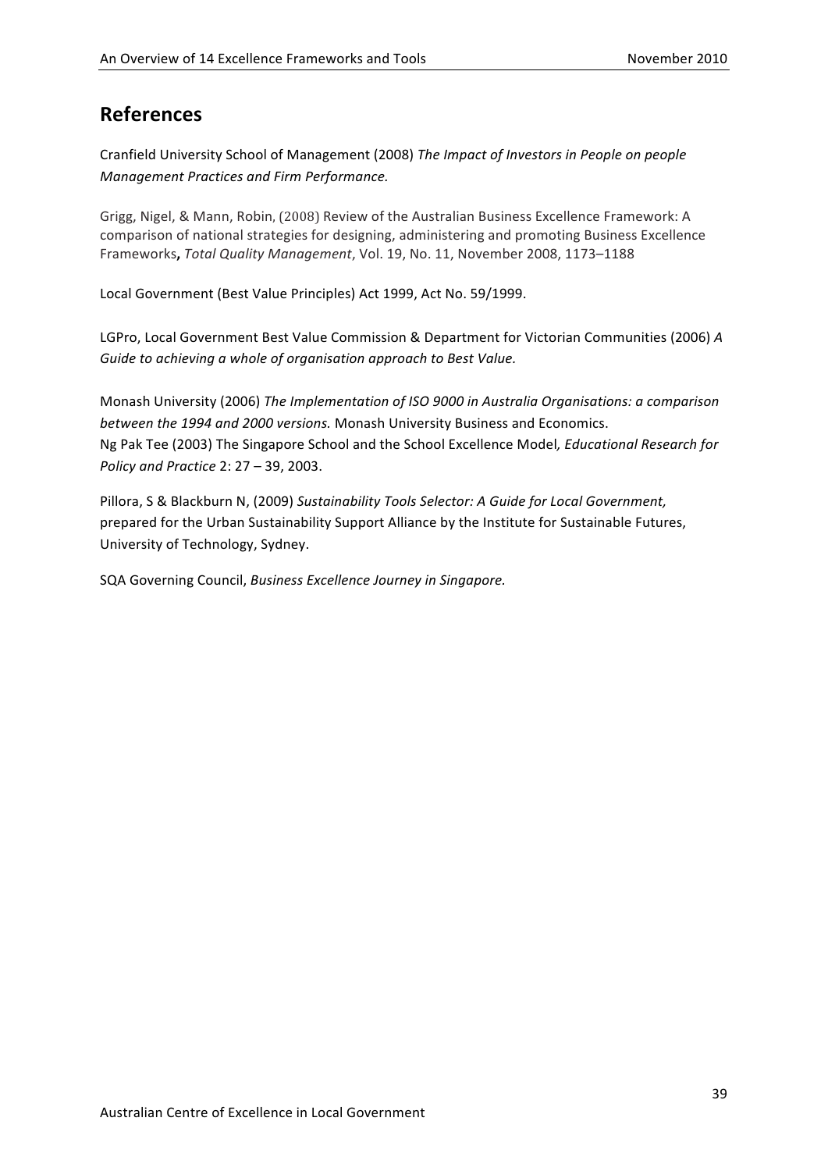# **References**

Cranfield
University
School
of
Management
(2008) *The
Impact
of
Investors
in
People
on
people Management
Practices
and
Firm
Performance.*

Grigg, Nigel, & Mann, Robin, (2008) Review of the Australian Business Excellence Framework: A comparison
of
national
strategies
for
designing,
administering
and
promoting
Business
Excellence Frameworks, Total Quality Management, Vol. 19, No. 11, November 2008, 1173-1188

Local
Government
(Best
Value
Principles)
Act
1999,
Act
No.
59/1999.

LGPro, Local Government Best Value Commission & Department for Victorian Communities (2006) A *Guide
to
achieving
a
whole
of
organisation
approach
to
Best
Value.*

Monash
University
(2006) *The
Implementation
of
ISO
9000
in
Australia
Organisations:
a
comparison between
the
1994
and
2000
versions.* Monash
University
Business
and
Economics. Ng
Pak
Tee
(2003)
The
Singapore
School
and
the
School
Excellence
Model*,
Educational
Research
for Policy
and
Practice* 2:
27
– 39,
2003.

Pillora, S & Blackburn N, (2009) Sustainability Tools Selector: A Guide for Local Government, prepared
for
the
Urban
Sustainability
Support
Alliance
by
the
Institute
for
Sustainable
Futures, University
of
Technology,
Sydney.

SQA
Governing
Council, *Business
Excellence
Journey
in
Singapore.*